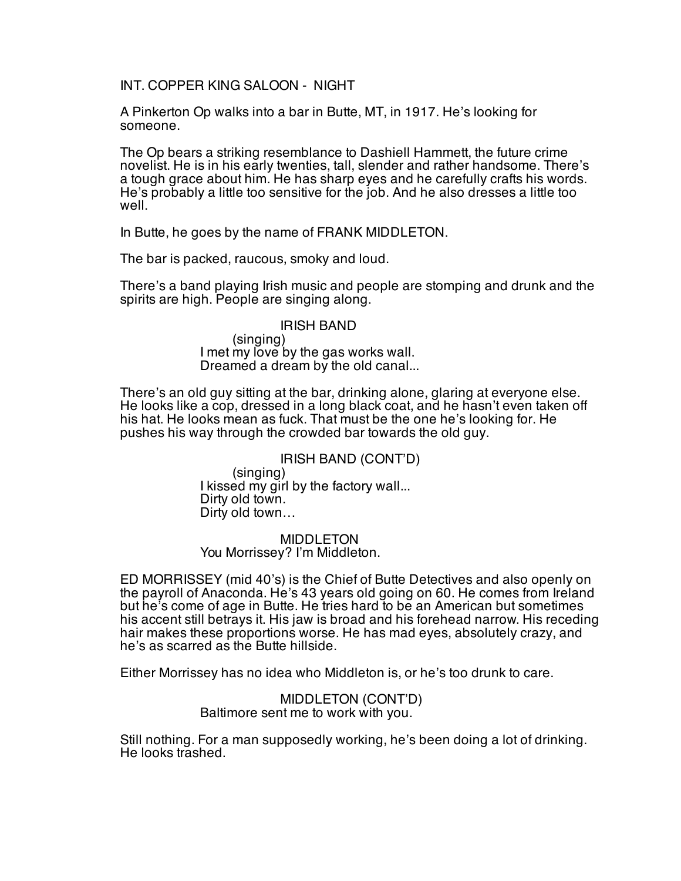INT. COPPER KING SALOON - NIGHT

A Pinkerton Op walks into a bar in Butte, MT, in 1917. He's looking for someone.

The Op bears a striking resemblance to Dashiell Hammett, the future crime novelist. He is in his early twenties, tall, slender and rather handsome. There's a tough grace about him. He has sharp eyes and he carefully crafts his words. He's probably a little too sensitive for the job. And he also dresses a little too well.

In Butte, he goes by the name of FRANK MIDDLETON.

The bar is packed, raucous, smoky and loud.

There's a band playing Irish music and people are stomping and drunk and the spirits are high. People are singing along.

### IRISH BAND

(singing) I met my love by the gas works wall. Dreamed a dream by the old canal...

There's an old guy sitting at the bar, drinking alone, glaring at everyone else. He looks like a cop, dressed in a long black coat, and he hasn't even taken off his hat. He looks mean as fuck. That must be the one he's looking for. He pushes his way through the crowded bar towards the old guy.

> IRISH BAND (CONT'D) (singing) I kissed my girl by the factory wall... Dirty old town. Dirty old town…

MIDDLETON You Morrissey? I'm Middleton.

ED MORRISSEY (mid 40's) is the Chief of Butte Detectives and also openly on the payroll of Anaconda. He's 43 years old going on 60. He comes from Ireland but he's come of age in Butte. He tries hard to be an American but sometimes his accent still betrays it. His jaw is broad and his forehead narrow. His receding hair makes these proportions worse. He has mad eyes, absolutely crazy, and he's as scarred as the Butte hillside.

Either Morrissey has no idea who Middleton is, or he's too drunk to care.

MIDDLETON (CONT'D) Baltimore sent me to work with you.

Still nothing. For a man supposedly working, he's been doing a lot of drinking. He looks trashed.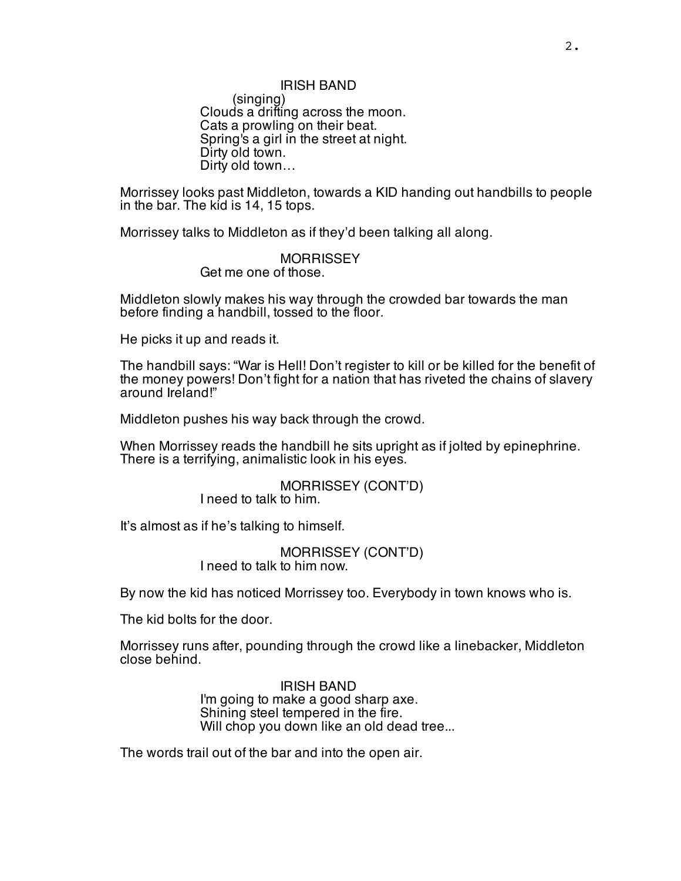IRISH BAND (singing) Clouds a drifting across the moon. Cats a prowling on their beat. Spring's a girl in the street at night. Dirty old town. Dirty old town…

Morrissey looks past Middleton, towards a KID handing out handbills to people in the bar. The kid is 14, 15 tops.

Morrissey talks to Middleton as if they'd been talking all along.

**MORRISSEY** Get me one of those.

Middleton slowly makes his way through the crowded bar towards the man before finding a handbill, tossed to the floor.

He picks it up and reads it.

The handbill says: "War is Hell! Don't register to kill or be killed for the benefit of the money powers! Don't fight for a nation that has riveted the chains of slavery around Ireland!"

Middleton pushes his way back through the crowd.

When Morrissey reads the handbill he sits upright as if jolted by epinephrine. There is a terrifying, animalistic look in his eyes.

> MORRISSEY (CONT'D) I need to talk to him.

It's almost as if he's talking to himself.

MORRISSEY (CONT'D) I need to talk to him now.

By now the kid has noticed Morrissey too. Everybody in town knows who is.

The kid bolts for the door.

Morrissey runs after, pounding through the crowd like a linebacker, Middleton close behind.

> IRISH BAND I'm going to make a good sharp axe. Shining steel tempered in the fire. Will chop you down like an old dead tree...

The words trail out of the bar and into the open air.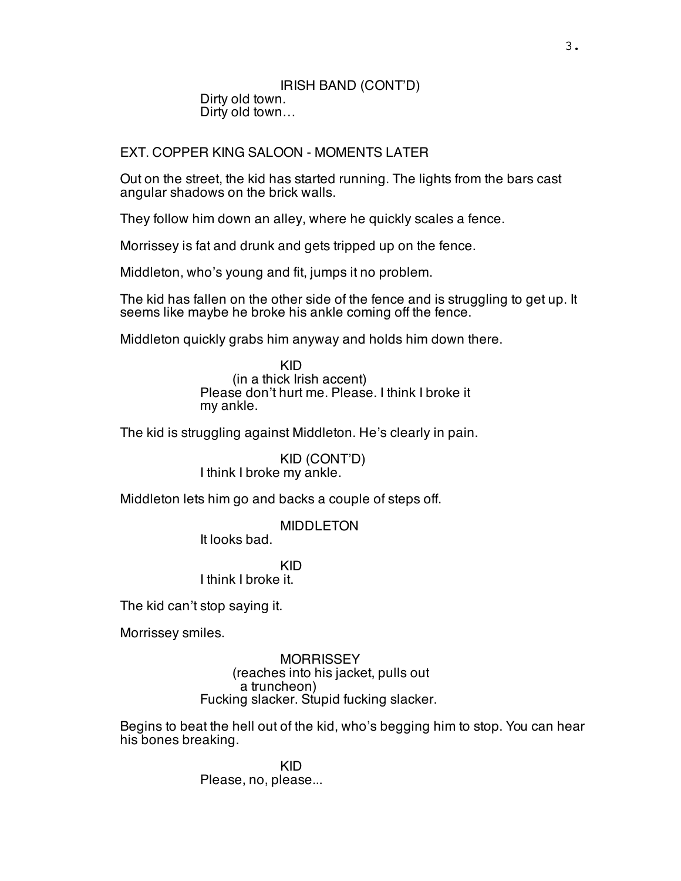IRISH BAND (CONT'D) Dirty old town. Dirty old town…

### EXT. COPPER KING SALOON - MOMENTS LATER

Out on the street, the kid has started running. The lights from the bars cast angular shadows on the brick walls.

They follow him down an alley, where he quickly scales a fence.

Morrissey is fat and drunk and gets tripped up on the fence.

Middleton, who's young and fit, jumps it no problem.

The kid has fallen on the other side of the fence and is struggling to get up. It seems like maybe he broke his ankle coming off the fence.

Middleton quickly grabs him anyway and holds him down there.

KID (in a thick Irish accent) Please don't hurt me. Please. I think I broke it my ankle.

The kid is struggling against Middleton. He's clearly in pain.

KID (CONT'D) I think I broke my ankle.

Middleton lets him go and backs a couple of steps off.

MIDDLETON

It looks bad.

KID I think I broke it.

The kid can't stop saying it.

Morrissey smiles.

**MORRISSEY** (reaches into his jacket, pulls out a truncheon) Fucking slacker. Stupid fucking slacker.

Begins to beat the hell out of the kid, who's begging him to stop. You can hear his bones breaking.

> KID Please, no, please...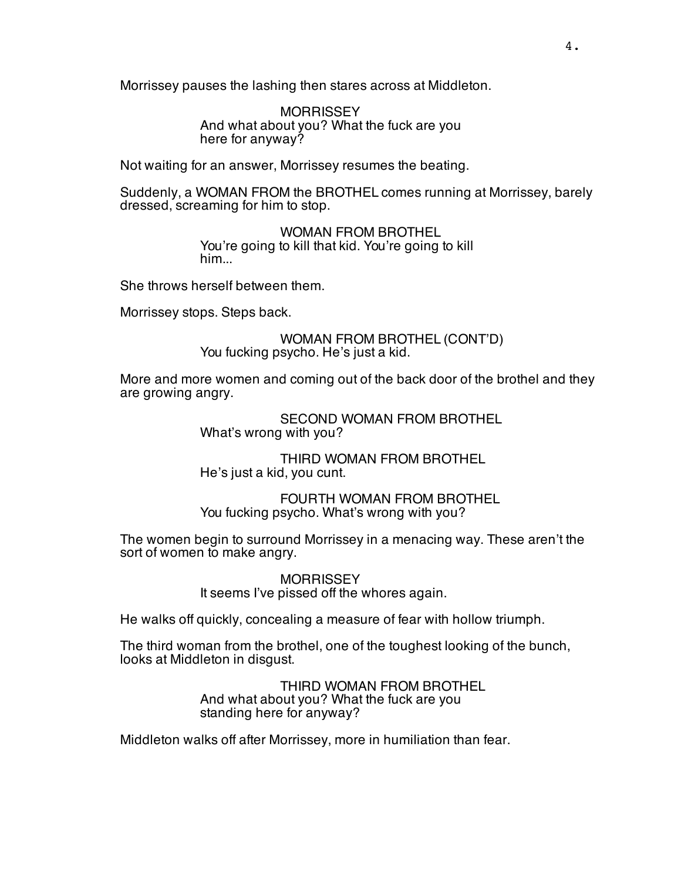Morrissey pauses the lashing then stares across at Middleton.

**MORRISSEY** And what about you? What the fuck are you here for anyway?

Not waiting for an answer, Morrissey resumes the beating.

Suddenly, a WOMAN FROM the BROTHEL comes running at Morrissey, barely dressed, screaming for him to stop.

> WOMAN FROM BROTHEL You're going to kill that kid. You're going to kill him...

She throws herself between them.

Morrissey stops. Steps back.

WOMAN FROM BROTHEL (CONT'D) You fucking psycho. He's just a kid.

More and more women and coming out of the back door of the brothel and they are growing angry.

> SECOND WOMAN FROM BROTHEL What's wrong with you?

THIRD WOMAN FROM BROTHEL He's just a kid, you cunt.

FOURTH WOMAN FROM BROTHEL You fucking psycho. What's wrong with you?

The women begin to surround Morrissey in a menacing way. These aren't the sort of women to make angry.

> **MORRISSEY** It seems I've pissed off the whores again.

He walks off quickly, concealing a measure of fear with hollow triumph.

The third woman from the brothel, one of the toughest looking of the bunch, looks at Middleton in disgust.

> THIRD WOMAN FROM BROTHEL And what about you? What the fuck are you standing here for anyway?

Middleton walks off after Morrissey, more in humiliation than fear.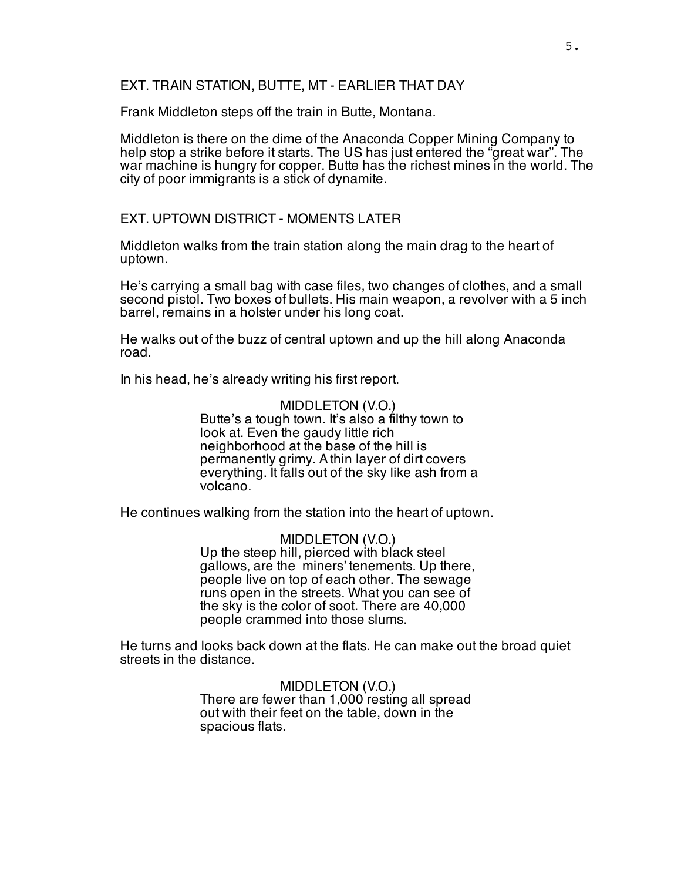### EXT. TRAIN STATION, BUTTE, MT - EARLIER THAT DAY

Frank Middleton steps off the train in Butte, Montana.

Middleton is there on the dime of the Anaconda Copper Mining Company to help stop a strike before it starts. The US has just entered the "great war". The war machine is hungry for copper. Butte has the richest mines in the world. The city of poor immigrants is a stick of dynamite.

### EXT. UPTOWN DISTRICT - MOMENTS LATER

Middleton walks from the train station along the main drag to the heart of uptown.

He's carrying a small bag with case files, two changes of clothes, and a small second pistol. Two boxes of bullets. His main weapon, a revolver with a 5 inch barrel, remains in a holster under his long coat.

He walks out of the buzz of central uptown and up the hill along Anaconda road.

In his head, he's already writing his first report.

MIDDLETON (V.O.) Butte's a tough town. It's also a filthy town to look at. Even the gaudy little rich neighborhood at the base of the hill is permanently grimy. A thin layer of dirt covers everything. It falls out of the sky like ash from a volcano.

He continues walking from the station into the heart of uptown.

MIDDLETON (V.O.) Up the steep hill, pierced with black steel gallows, are the miners' tenements. Up there, people live on top of each other. The sewage runs open in the streets. What you can see of the sky is the color of soot. There are 40,000 people crammed into those slums.

He turns and looks back down at the flats. He can make out the broad quiet streets in the distance.

> MIDDLETON (V.O.) There are fewer than 1,000 resting all spread out with their feet on the table, down in the spacious flats.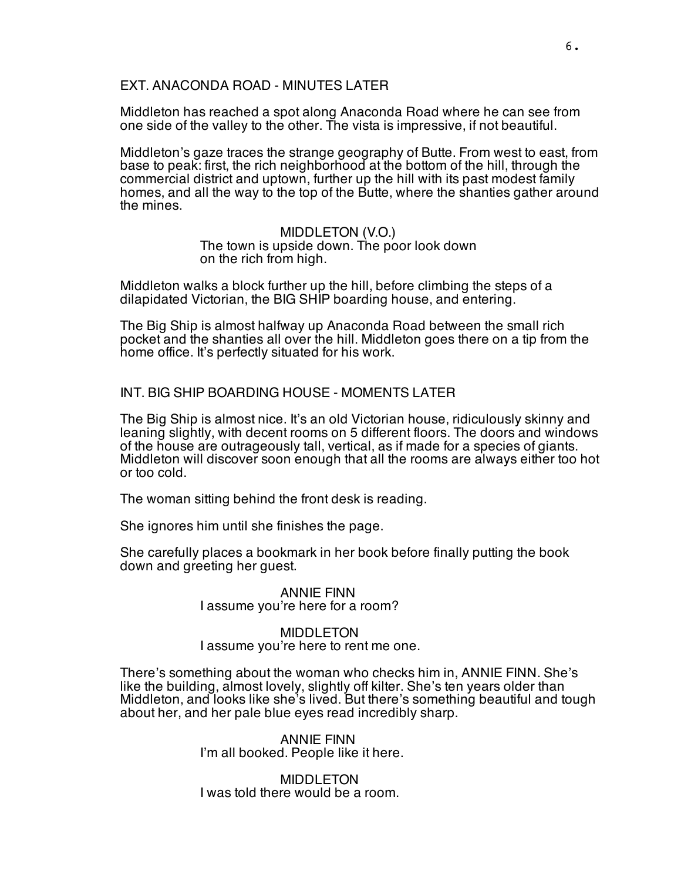### EXT. ANACONDA ROAD - MINUTES LATER

Middleton has reached a spot along Anaconda Road where he can see from one side of the valley to the other. The vista is impressive, if not beautiful.

Middleton's gaze traces the strange geography of Butte. From west to east, from base to peak: first, the rich neighborhood at the bottom of the hill, through the commercial district and uptown, further up the hill with its past modest family homes, and all the way to the top of the Butte, where the shanties gather around the mines.

> MIDDLETON (V.O.) The town is upside down. The poor look down on the rich from high.

Middleton walks a block further up the hill, before climbing the steps of a dilapidated Victorian, the BIG SHIP boarding house, and entering.

The Big Ship is almost halfway up Anaconda Road between the small rich pocket and the shanties all over the hill. Middleton goes there on a tip from the home office. It's perfectly situated for his work.

INT. BIG SHIP BOARDING HOUSE - MOMENTS LATER

The Big Ship is almost nice. It's an old Victorian house, ridiculously skinny and leaning slightly, with decent rooms on 5 different floors. The doors and windows of the house are outrageously tall, vertical, as if made for a species of giants. Middleton will discover soon enough that all the rooms are always either too hot or too cold.

The woman sitting behind the front desk is reading.

She ignores him until she finishes the page.

She carefully places a bookmark in her book before finally putting the book down and greeting her guest.

> ANNIE FINN I assume you're here for a room?

# MIDDLETON

I assume you're here to rent me one.

There's something about the woman who checks him in, ANNIE FINN. She's like the building, almost lovely, slightly off kilter. She's ten years older than Middleton, and looks like she's lived. But there's something beautiful and tough about her, and her pale blue eyes read incredibly sharp.

> ANNIE FINN I'm all booked. People like it here.

MIDDLETON I was told there would be a room.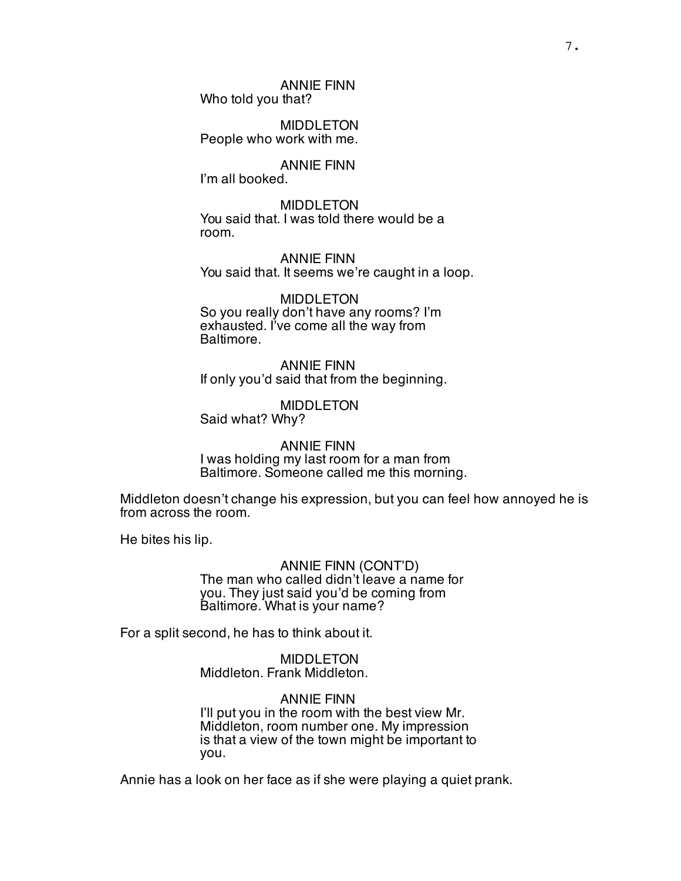ANNIE FINN Who told you that?

MIDDLETON People who work with me.

ANNIE FINN

I'm all booked.

MIDDLETON You said that. I was told there would be a room.

ANNIE FINN You said that. It seems we're caught in a loop.

MIDDLETON So you really don't have any rooms? I'm exhausted. I've come all the way from Baltimore.

ANNIE FINN If only you'd said that from the beginning.

MIDDLETON Said what? Why?

#### ANNIE FINN I was holding my last room for a man from

Baltimore. Someone called me this morning.

Middleton doesn't change his expression, but you can feel how annoyed he is from across the room.

He bites his lip.

### ANNIE FINN (CONT'D)

The man who called didn't leave a name for you. They just said you'd be coming from Baltimore. What is your name?

For a split second, he has to think about it.

MIDDLETON Middleton. Frank Middleton.

ANNIE FINN I'll put you in the room with the best view Mr. Middleton, room number one. My impression is that a view of the town might be important to you.

Annie has a look on her face as if she were playing a quiet prank.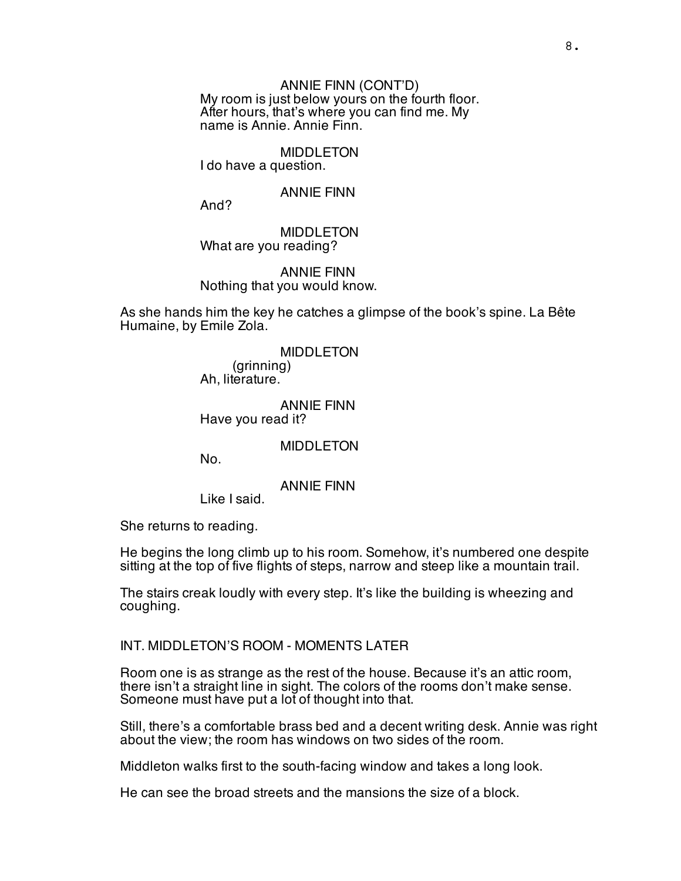### ANNIE FINN (CONT'D)

My room is just below yours on the fourth floor. After hours, that's where you can find me. My name is Annie. Annie Finn.

MIDDLETON I do have a question.

### ANNIE FINN

And?

MIDDLETON What are you reading?

ANNIE FINN Nothing that you would know.

As she hands him the key he catches a glimpse of the book's spine. La Bête Humaine, by Emile Zola.

> MIDDLETON (grinning) Ah, literature.

ANNIE FINN Have you read it?

MIDDLETON

No.

ANNIE FINN

Like I said.

She returns to reading.

He begins the long climb up to his room. Somehow, it's numbered one despite sitting at the top of five flights of steps, narrow and steep like a mountain trail.

The stairs creak loudly with every step. It's like the building is wheezing and coughing.

INT. MIDDLETON'S ROOM - MOMENTS LATER

Room one is as strange as the rest of the house. Because it's an attic room, there isn't a straight line in sight. The colors of the rooms don't make sense. Someone must have put a lot of thought into that.

Still, there's a comfortable brass bed and a decent writing desk. Annie was right about the view; the room has windows on two sides of the room.

Middleton walks first to the south-facing window and takes a long look.

He can see the broad streets and the mansions the size of a block.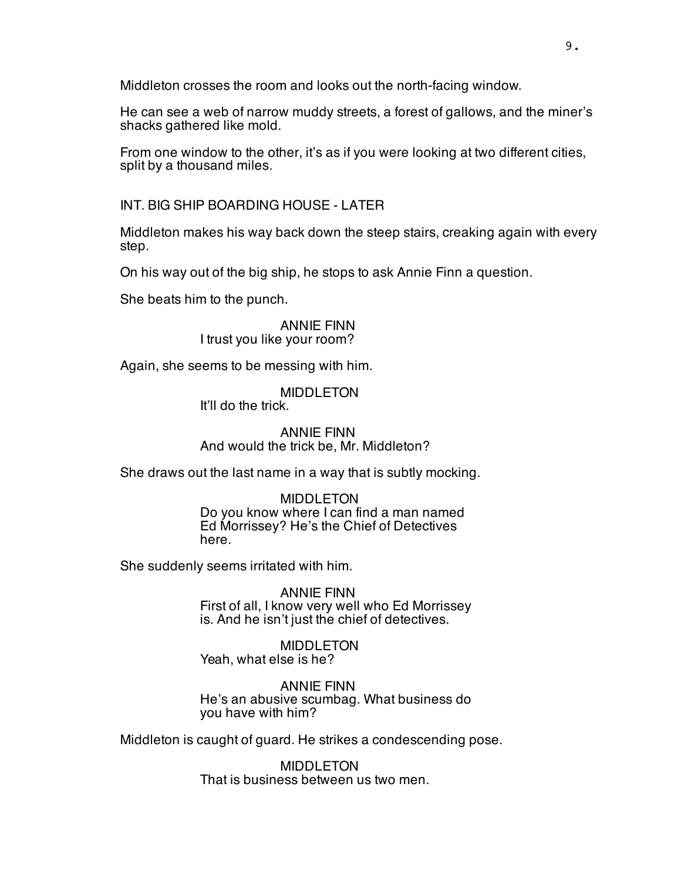Middleton crosses the room and looks out the north-facing window.

He can see a web of narrow muddy streets, a forest of gallows, and the miner's shacks gathered like mold.

From one window to the other, it's as if you were looking at two different cities, split by a thousand miles.

INT. BIG SHIP BOARDING HOUSE - LATER

Middleton makes his way back down the steep stairs, creaking again with every step.

On his way out of the big ship, he stops to ask Annie Finn a question.

She beats him to the punch.

### ANNIE FINN I trust you like your room?

Again, she seems to be messing with him.

# MIDDLETON

It'll do the trick.

### ANNIE FINN And would the trick be, Mr. Middleton?

She draws out the last name in a way that is subtly mocking.

#### MIDDLETON Do you know where I can find a man named Ed Morrissey? He's the Chief of Detectives

here.

She suddenly seems irritated with him.

ANNIE FINN First of all, I know very well who Ed Morrissey is. And he isn't just the chief of detectives.

MIDDLETON Yeah, what else is he?

ANNIE FINN He's an abusive scumbag. What business do you have with him?

Middleton is caught of guard. He strikes a condescending pose.

MIDDLETON That is business between us two men.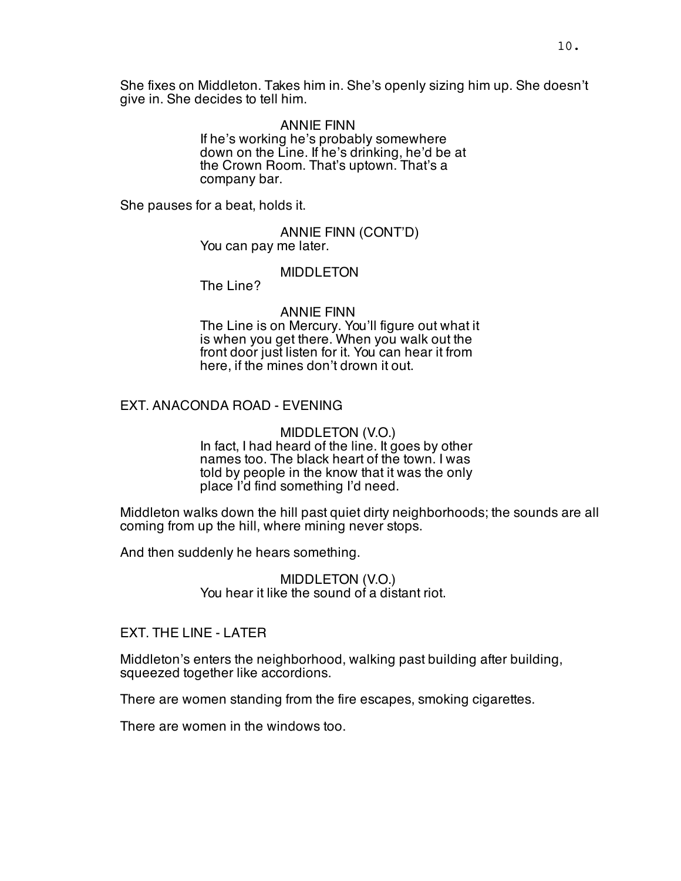She fixes on Middleton. Takes him in. She's openly sizing him up. She doesn't give in. She decides to tell him.

> ANNIE FINN If he's working he's probably somewhere down on the Line. If he's drinking, he'd be at the Crown Room. That's uptown. That's a company bar.

She pauses for a beat, holds it.

ANNIE FINN (CONT'D) You can pay me later.

### MIDDLETON

The Line?

### ANNIE FINN

The Line is on Mercury. You'll figure out what it is when you get there. When you walk out the front door just listen for it. You can hear it from here, if the mines don't drown it out.

### EXT. ANACONDA ROAD - EVENING

### MIDDLETON (V.O.)

In fact, I had heard of the line. It goes by other names too. The black heart of the town. I was told by people in the know that it was the only place I'd find something I'd need.

Middleton walks down the hill past quiet dirty neighborhoods; the sounds are all coming from up the hill, where mining never stops.

And then suddenly he hears something.

MIDDLETON (V.O.) You hear it like the sound of a distant riot.

# EXT. THE LINE - LATER

Middleton's enters the neighborhood, walking past building after building, squeezed together like accordions.

There are women standing from the fire escapes, smoking cigarettes.

There are women in the windows too.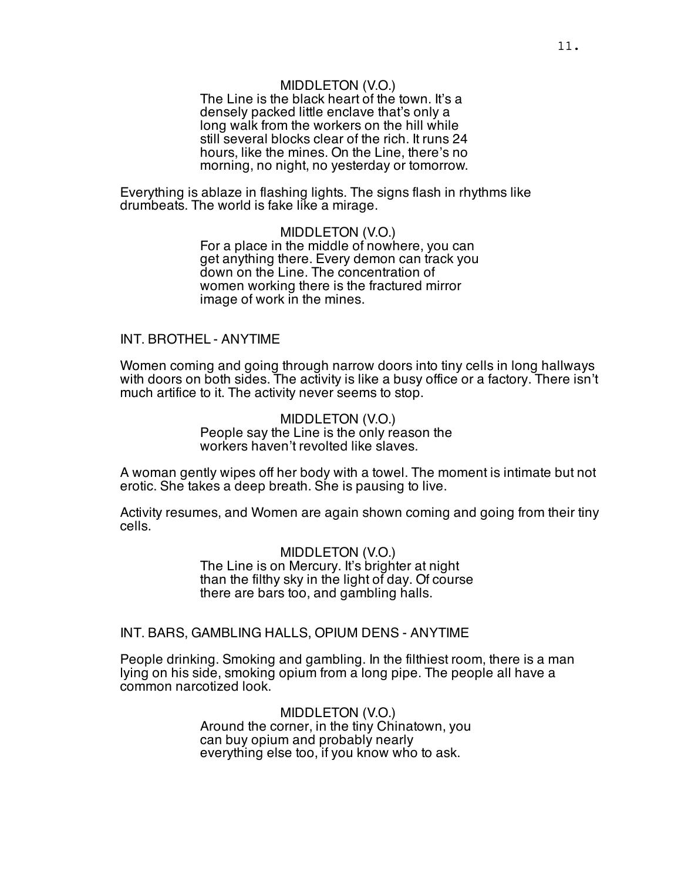### MIDDLETON (V.O.)

The Line is the black heart of the town. It's a densely packed little enclave that's only a long walk from the workers on the hill while still several blocks clear of the rich. It runs 24 hours, like the mines. On the Line, there's no morning, no night, no yesterday or tomorrow.

Everything is ablaze in flashing lights. The signs flash in rhythms like drumbeats. The world is fake like a mirage.

#### MIDDLETON (V.O.) For a place in the middle of nowhere, you can get anything there. Every demon can track you down on the Line. The concentration of women working there is the fractured mirror image of work in the mines.

### INT. BROTHEL - ANYTIME

Women coming and going through narrow doors into tiny cells in long hallways with doors on both sides. The activity is like a busy office or a factory. There isn't much artifice to it. The activity never seems to stop.

> MIDDLETON (V.O.) People say the Line is the only reason the workers haven't revolted like slaves.

A woman gently wipes off her body with a towel. The moment is intimate but not erotic. She takes a deep breath. She is pausing to live.

Activity resumes, and Women are again shown coming and going from their tiny cells.

> MIDDLETON (V.O.) The Line is on Mercury. It's brighter at night than the filthy sky in the light of day. Of course there are bars too, and gambling halls.

### INT. BARS, GAMBLING HALLS, OPIUM DENS - ANYTIME

People drinking. Smoking and gambling. In the filthiest room, there is a man lying on his side, smoking opium from a long pipe. The people all have a common narcotized look.

> MIDDLETON (V.O.) Around the corner, in the tiny Chinatown, you can buy opium and probably nearly everything else too, if you know who to ask.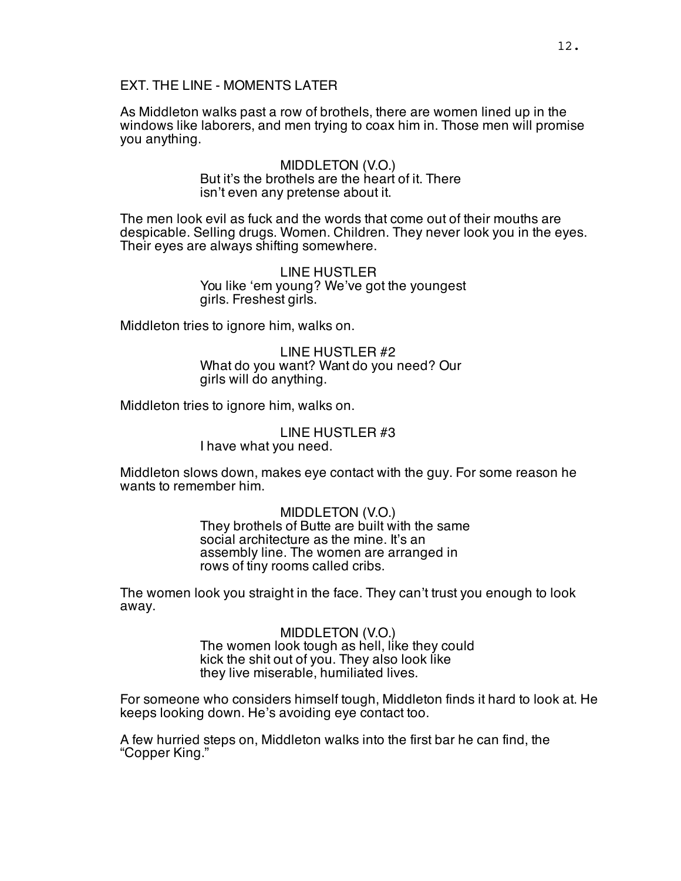EXT. THE LINE - MOMENTS LATER

As Middleton walks past a row of brothels, there are women lined up in the windows like laborers, and men trying to coax him in. Those men will promise you anything.

### MIDDLETON (V.O.) But it's the brothels are the heart of it. There isn't even any pretense about it.

The men look evil as fuck and the words that come out of their mouths are despicable. Selling drugs. Women. Children. They never look you in the eyes. Their eyes are always shifting somewhere.

> LINE HUSTLER You like 'em young? We've got the youngest girls. Freshest girls.

Middleton tries to ignore him, walks on.

LINE HUSTLER #2 What do you want? Want do you need? Our girls will do anything.

Middleton tries to ignore him, walks on.

### LINE HUSTLER #3 I have what you need.

Middleton slows down, makes eye contact with the guy. For some reason he wants to remember him.

### MIDDLETON (V.O.)

They brothels of Butte are built with the same social architecture as the mine. It's an assembly line. The women are arranged in rows of tiny rooms called cribs.

The women look you straight in the face. They can't trust you enough to look away.

### MIDDLETON (V.O.) The women look tough as hell, like they could kick the shit out of you. They also look like they live miserable, humiliated lives.

For someone who considers himself tough, Middleton finds it hard to look at. He keeps looking down. He's avoiding eye contact too.

A few hurried steps on, Middleton walks into the first bar he can find, the "Copper King."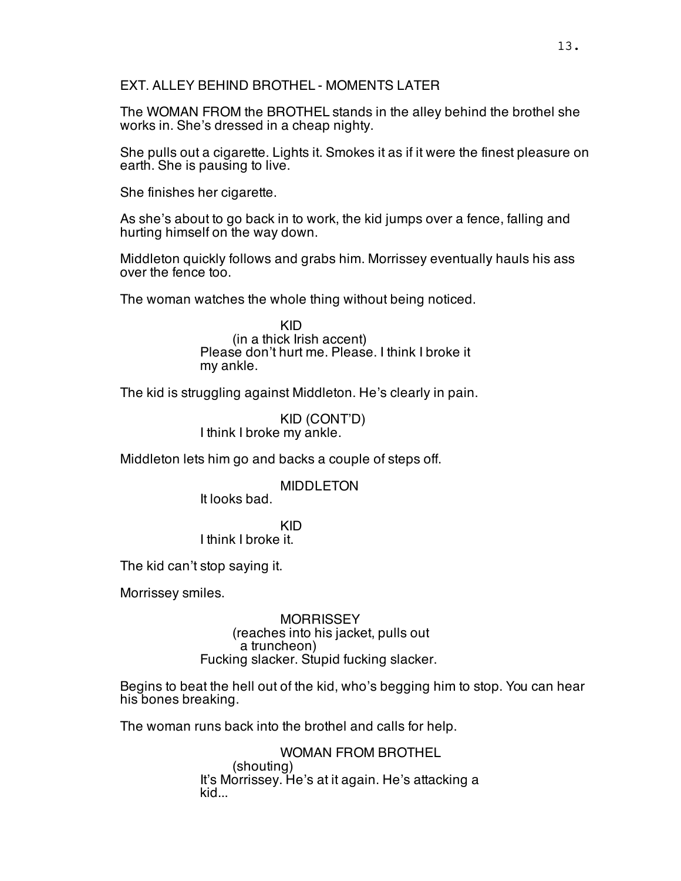EXT. ALLEY BEHIND BROTHEL - MOMENTS LATER

The WOMAN FROM the BROTHEL stands in the alley behind the brothel she works in. She's dressed in a cheap nighty.

She pulls out a cigarette. Lights it. Smokes it as if it were the finest pleasure on earth. She is pausing to live.

She finishes her cigarette.

As she's about to go back in to work, the kid jumps over a fence, falling and hurting himself on the way down.

Middleton quickly follows and grabs him. Morrissey eventually hauls his ass over the fence too.

The woman watches the whole thing without being noticed.

KID (in a thick Irish accent) Please don't hurt me. Please. I think I broke it my ankle.

The kid is struggling against Middleton. He's clearly in pain.

KID (CONT'D) I think I broke my ankle.

Middleton lets him go and backs a couple of steps off.

MIDDLETON

It looks bad.

KID I think I broke it.

The kid can't stop saying it.

Morrissey smiles.

**MORRISSEY** (reaches into his jacket, pulls out a truncheon) Fucking slacker. Stupid fucking slacker.

Begins to beat the hell out of the kid, who's begging him to stop. You can hear his bones breaking.

The woman runs back into the brothel and calls for help.

WOMAN FROM BROTHEL (shouting) It's Morrissey. He's at it again. He's attacking a kid...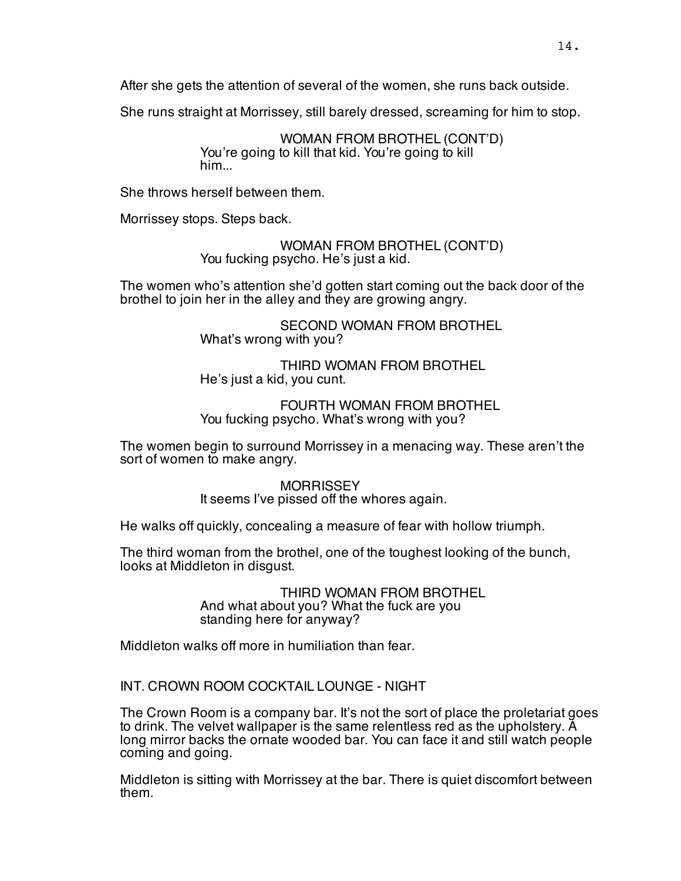After she gets the attention of several of the women, she runs back outside.

She runs straight at Morrissey, still barely dressed, screaming for him to stop.

WOMAN FROM BROTHEL (CONT'D) You're going to kill that kid. You're going to kill him...

She throws herself between them.

Morrissey stops. Steps back.

WOMAN FROM BROTHEL (CONT'D) You fucking psycho. He's just a kid.

The women who's attention she'd gotten start coming out the back door of the brothel to join her in the alley and they are growing angry.

> SECOND WOMAN FROM BROTHEL What's wrong with you?

THIRD WOMAN FROM BROTHEL He's just a kid, you cunt.

FOURTH WOMAN FROM BROTHEL You fucking psycho. What's wrong with you?

The women begin to surround Morrissey in a menacing way. These aren't the sort of women to make angry.

> **MORRISSEY** It seems I've pissed off the whores again.

He walks off quickly, concealing a measure of fear with hollow triumph.

The third woman from the brothel, one of the toughest looking of the bunch, looks at Middleton in disgust.

> THIRD WOMAN FROM BROTHEL And what about you? What the fuck are you standing here for anyway?

Middleton walks off more in humiliation than fear.

INT. CROWN ROOM COCKTAIL LOUNGE - NIGHT

The Crown Room is a company bar. It's not the sort of place the proletariat goes to drink. The velvet wallpaper is the same relentless red as the upholstery. A long mirror backs the ornate wooded bar. You can face it and still watch people coming and going.

Middleton is sitting with Morrissey at the bar. There is quiet discomfort between them.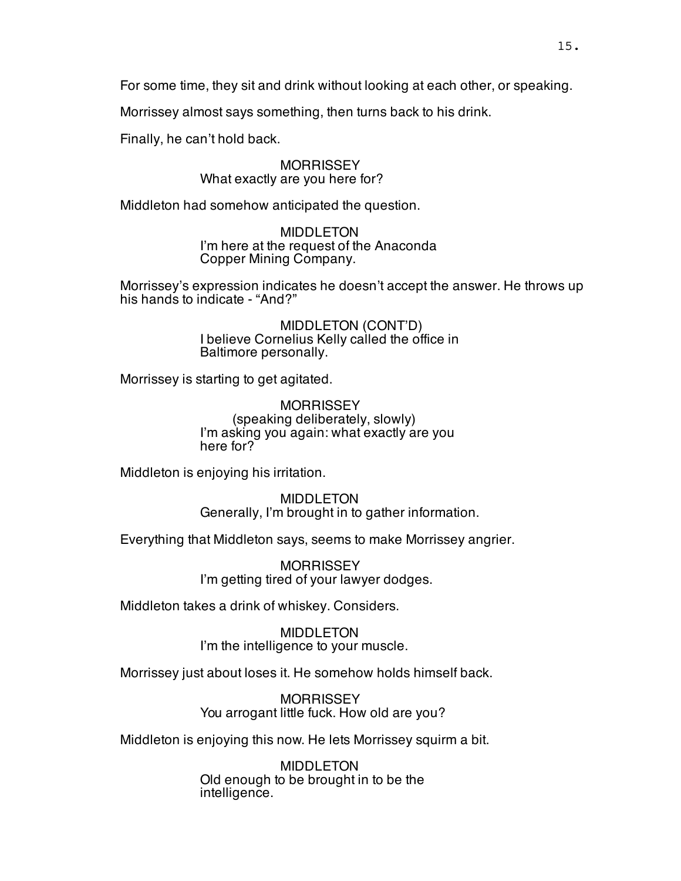For some time, they sit and drink without looking at each other, or speaking.

Morrissey almost says something, then turns back to his drink.

Finally, he can't hold back.

**MORRISSEY** What exactly are you here for?

Middleton had somehow anticipated the question.

MIDDLETON I'm here at the request of the Anaconda Copper Mining Company.

Morrissey's expression indicates he doesn't accept the answer. He throws up his hands to indicate - "And?"

> MIDDLETON (CONT'D) I believe Cornelius Kelly called the office in Baltimore personally.

Morrissey is starting to get agitated.

**MORRISSEY** (speaking deliberately, slowly) I'm asking you again: what exactly are you here for?

Middleton is enjoying his irritation.

MIDDLETON Generally, I'm brought in to gather information.

Everything that Middleton says, seems to make Morrissey angrier.

**MORRISSEY** I'm getting tired of your lawyer dodges.

Middleton takes a drink of whiskey. Considers.

**MIDDLETON** I'm the intelligence to your muscle.

Morrissey just about loses it. He somehow holds himself back.

**MORRISSEY** You arrogant little fuck. How old are you?

Middleton is enjoying this now. He lets Morrissey squirm a bit.

MIDDLETON Old enough to be brought in to be the intelligence.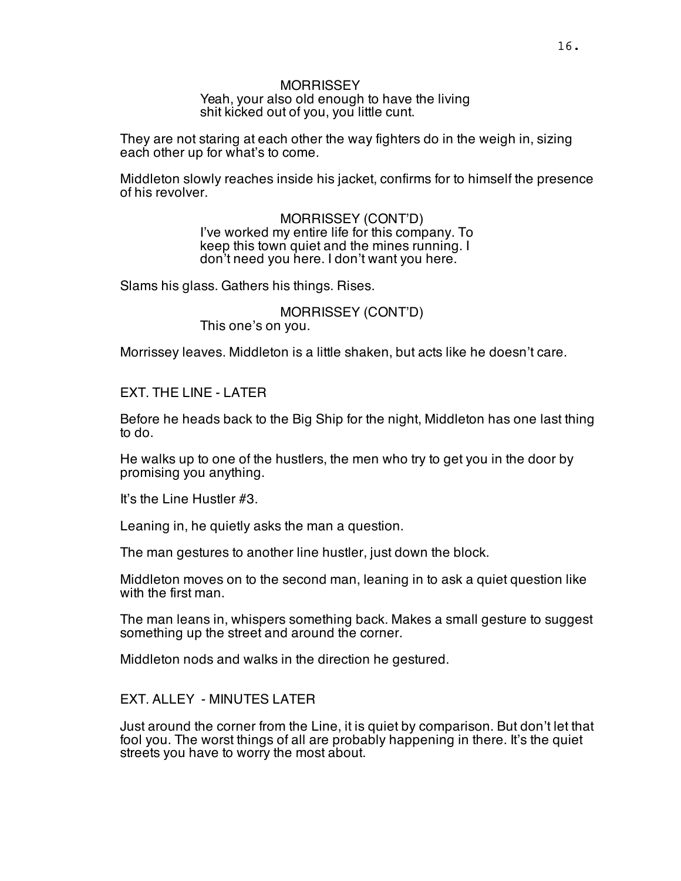#### **MORRISSEY** Yeah, your also old enough to have the living shit kicked out of you, you little cunt.

They are not staring at each other the way fighters do in the weigh in, sizing each other up for what's to come.

Middleton slowly reaches inside his jacket, confirms for to himself the presence of his revolver.

> MORRISSEY (CONT'D) I've worked my entire life for this company. To keep this town quiet and the mines running. I don't need you here. I don't want you here.

Slams his glass. Gathers his things. Rises.

MORRISSEY (CONT'D) This one's on you.

Morrissey leaves. Middleton is a little shaken, but acts like he doesn't care.

EXT. THE LINE - LATER

Before he heads back to the Big Ship for the night, Middleton has one last thing to do.

He walks up to one of the hustlers, the men who try to get you in the door by promising you anything.

It's the Line Hustler #3.

Leaning in, he quietly asks the man a question.

The man gestures to another line hustler, just down the block.

Middleton moves on to the second man, leaning in to ask a quiet question like with the first man.

The man leans in, whispers something back. Makes a small gesture to suggest something up the street and around the corner.

Middleton nods and walks in the direction he gestured.

### EXT. ALLEY - MINUTES LATER

Just around the corner from the Line, it is quiet by comparison. But don't let that fool you. The worst things of all are probably happening in there. It's the quiet streets you have to worry the most about.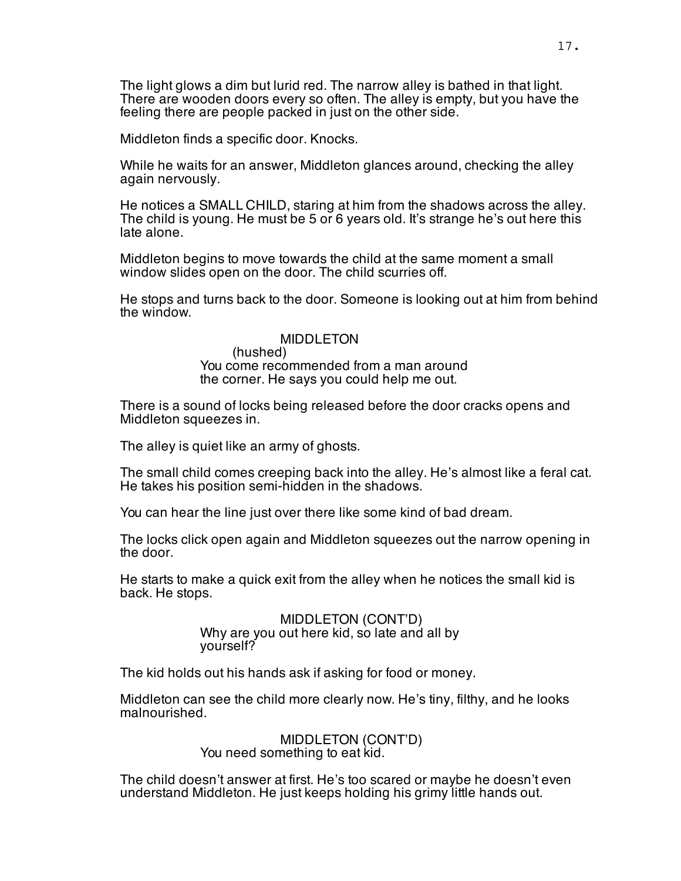The light glows a dim but lurid red. The narrow alley is bathed in that light. There are wooden doors every so often. The alley is empty, but you have the feeling there are people packed in just on the other side.

Middleton finds a specific door. Knocks.

While he waits for an answer, Middleton glances around, checking the alley again nervously.

He notices a SMALL CHILD, staring at him from the shadows across the alley. The child is young. He must be 5 or 6 years old. It's strange he's out here this late alone.

Middleton begins to move towards the child at the same moment a small window slides open on the door. The child scurries off.

He stops and turns back to the door. Someone is looking out at him from behind the window.

### MIDDLETON

(hushed) You come recommended from a man around the corner. He says you could help me out.

There is a sound of locks being released before the door cracks opens and Middleton squeezes in.

The alley is quiet like an army of ghosts.

The small child comes creeping back into the alley. He's almost like a feral cat. He takes his position semi-hidden in the shadows.

You can hear the line just over there like some kind of bad dream.

The locks click open again and Middleton squeezes out the narrow opening in the door.

He starts to make a quick exit from the alley when he notices the small kid is back. He stops.

### MIDDLETON (CONT'D) Why are you out here kid, so late and all by yourself?

The kid holds out his hands ask if asking for food or money.

Middleton can see the child more clearly now. He's tiny, filthy, and he looks malnourished.

> MIDDLETON (CONT'D) You need something to eat kid.

The child doesn't answer at first. He's too scared or maybe he doesn't even understand Middleton. He just keeps holding his grimy little hands out.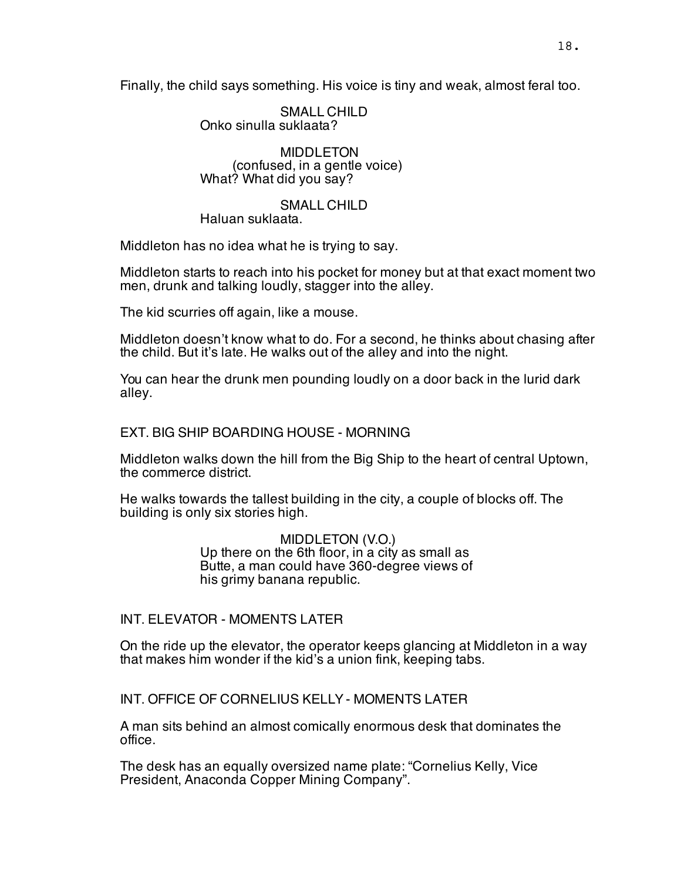Finally, the child says something. His voice is tiny and weak, almost feral too.

SMALL CHILD Onko sinulla suklaata?

MIDDLETON (confused, in a gentle voice) What? What did you say?

#### SMALL CHILD

Haluan suklaata.

Middleton has no idea what he is trying to say.

Middleton starts to reach into his pocket for money but at that exact moment two men, drunk and talking loudly, stagger into the alley.

The kid scurries off again, like a mouse.

Middleton doesn't know what to do. For a second, he thinks about chasing after the child. But it's late. He walks out of the alley and into the night.

You can hear the drunk men pounding loudly on a door back in the lurid dark alley.

EXT. BIG SHIP BOARDING HOUSE - MORNING

Middleton walks down the hill from the Big Ship to the heart of central Uptown, the commerce district.

He walks towards the tallest building in the city, a couple of blocks off. The building is only six stories high.

> MIDDLETON (V.O.) Up there on the 6th floor, in a city as small as Butte, a man could have 360-degree views of his grimy banana republic.

### INT. ELEVATOR - MOMENTS LATER

On the ride up the elevator, the operator keeps glancing at Middleton in a way that makes him wonder if the kid's a union fink, keeping tabs.

INT. OFFICE OF CORNELIUS KELLY - MOMENTS LATER

A man sits behind an almost comically enormous desk that dominates the office.

The desk has an equally oversized name plate: "Cornelius Kelly, Vice President, Anaconda Copper Mining Company".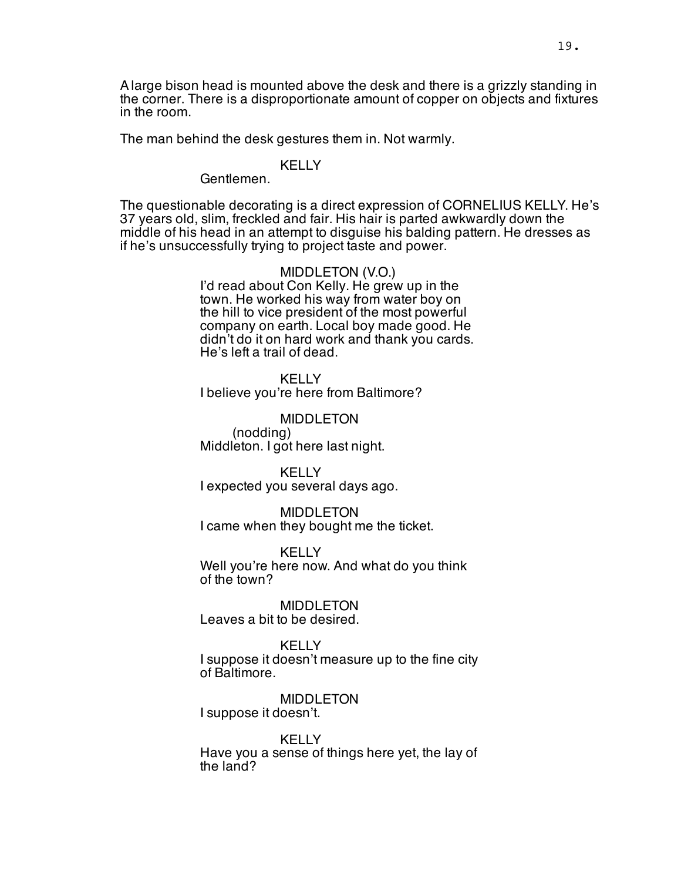A large bison head is mounted above the desk and there is a grizzly standing in the corner. There is a disproportionate amount of copper on objects and fixtures in the room.

The man behind the desk gestures them in. Not warmly.

### **KELLY**

### Gentlemen.

The questionable decorating is a direct expression of CORNELIUS KELLY. He's 37 years old, slim, freckled and fair. His hair is parted awkwardly down the middle of his head in an attempt to disguise his balding pattern. He dresses as if he's unsuccessfully trying to project taste and power.

> MIDDLETON (V.O.) I'd read about Con Kelly. He grew up in the town. He worked his way from water boy on the hill to vice president of the most powerful company on earth. Local boy made good. He didn't do it on hard work and thank you cards. He's left a trail of dead.

#### **KELLY**

I believe you're here from Baltimore?

MIDDLETON (nodding) Middleton. I got here last night.

**KELLY** I expected you several days ago.

### MIDDLETON

I came when they bought me the ticket.

**KELLY** 

Well you're here now. And what do you think of the town?

MIDDLETON Leaves a bit to be desired.

### **KELLY**

I suppose it doesn't measure up to the fine city of Baltimore.

MIDDLETON

I suppose it doesn't.

### **KELLY**

Have you a sense of things here yet, the lay of the land?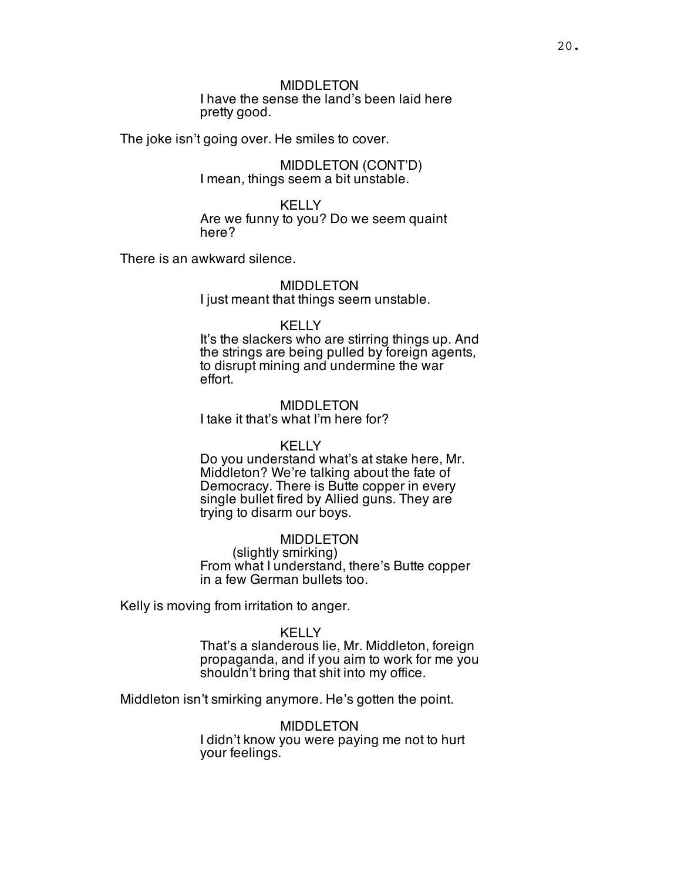MIDDLETON I have the sense the land's been laid here pretty good.

The joke isn't going over. He smiles to cover.

MIDDLETON (CONT'D) I mean, things seem a bit unstable.

**KELLY** Are we funny to you? Do we seem quaint here?

There is an awkward silence.

MIDDLETON I just meant that things seem unstable.

#### KELLY

It's the slackers who are stirring things up. And the strings are being pulled by foreign agents, to disrupt mining and undermine the war effort.

MIDDLETON I take it that's what I'm here for?

#### KELLY

Do you understand what's at stake here, Mr. Middleton? We're talking about the fate of Democracy. There is Butte copper in every single bullet fired by Allied guns. They are trying to disarm our boys.

#### MIDDLETON

(slightly smirking) From what I understand, there's Butte copper in a few German bullets too.

Kelly is moving from irritation to anger.

#### KELLY

That's a slanderous lie, Mr. Middleton, foreign propaganda, and if you aim to work for me you shouldn't bring that shit into my office.

Middleton isn't smirking anymore. He's gotten the point.

MIDDLETON I didn't know you were paying me not to hurt your feelings.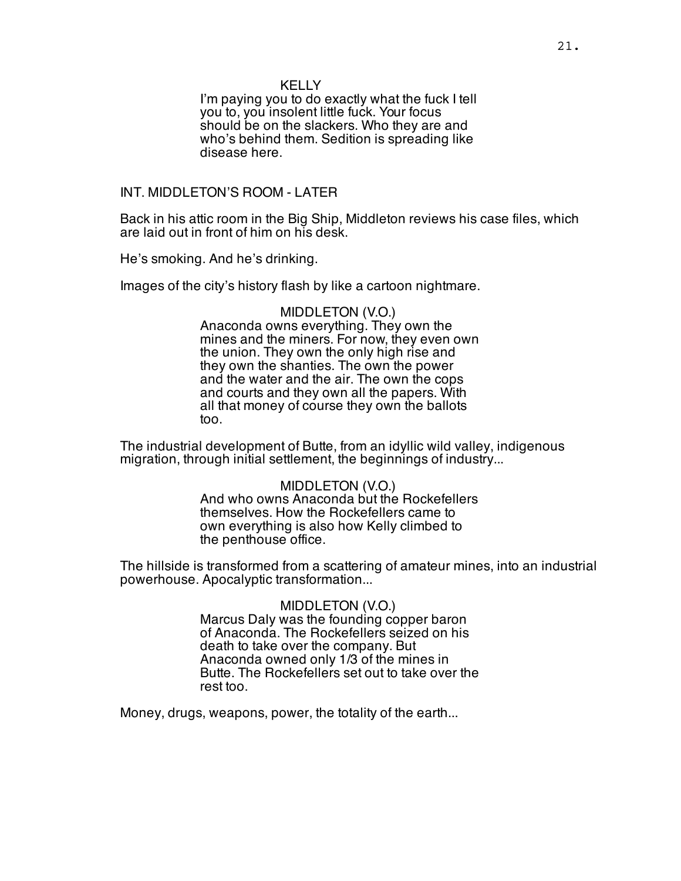#### KELLY

I'm paying you to do exactly what the fuck I tell you to, you insolent little fuck. Your focus should be on the slackers. Who they are and who's behind them. Sedition is spreading like disease here.

INT. MIDDLETON'S ROOM - LATER

Back in his attic room in the Big Ship, Middleton reviews his case files, which are laid out in front of him on his desk.

He's smoking. And he's drinking.

Images of the city's history flash by like a cartoon nightmare.

### MIDDLETON (V.O.)

Anaconda owns everything. They own the mines and the miners. For now, they even own the union. They own the only high rise and they own the shanties. The own the power and the water and the air. The own the cops and courts and they own all the papers. With all that money of course they own the ballots too.

The industrial development of Butte, from an idyllic wild valley, indigenous migration, through initial settlement, the beginnings of industry...

#### MIDDLETON (V.O.) And who owns Anaconda but the Rockefellers themselves. How the Rockefellers came to own everything is also how Kelly climbed to the penthouse office.

The hillside is transformed from a scattering of amateur mines, into an industrial powerhouse. Apocalyptic transformation...

### MIDDLETON (V.O.)

Marcus Daly was the founding copper baron of Anaconda. The Rockefellers seized on his death to take over the company. But Anaconda owned only 1/3 of the mines in Butte. The Rockefellers set out to take over the rest too.

Money, drugs, weapons, power, the totality of the earth...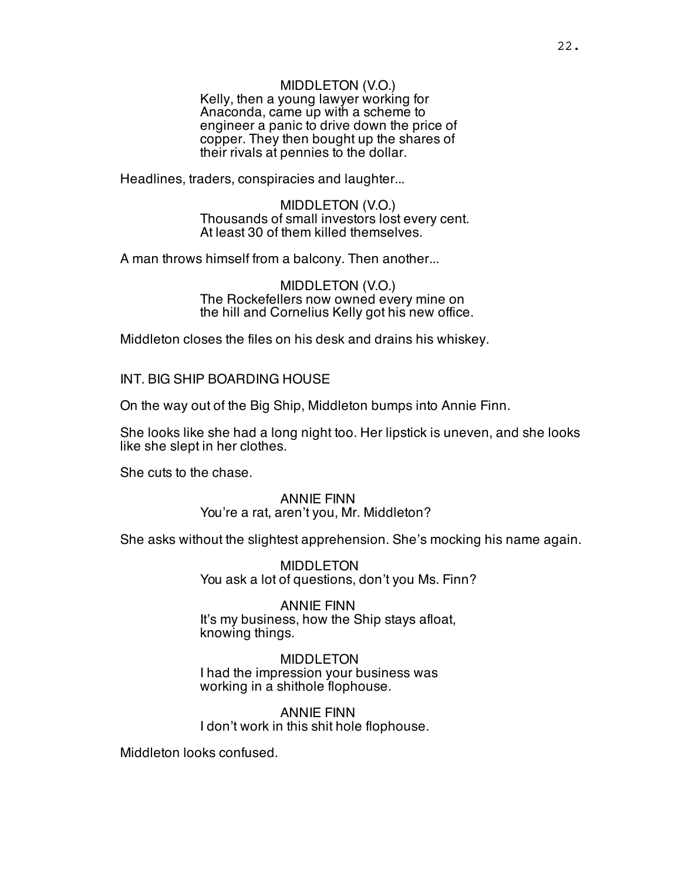### MIDDLETON (V.O.)

Kelly, then a young lawyer working for Anaconda, came up with a scheme to engineer a panic to drive down the price of copper. They then bought up the shares of their rivals at pennies to the dollar.

Headlines, traders, conspiracies and laughter...

MIDDLETON (V.O.) Thousands of small investors lost every cent. At least 30 of them killed themselves.

A man throws himself from a balcony. Then another...

MIDDLETON (V.O.) The Rockefellers now owned every mine on the hill and Cornelius Kelly got his new office.

Middleton closes the files on his desk and drains his whiskey.

INT. BIG SHIP BOARDING HOUSE

On the way out of the Big Ship, Middleton bumps into Annie Finn.

She looks like she had a long night too. Her lipstick is uneven, and she looks like she slept in her clothes.

She cuts to the chase.

ANNIE FINN You're a rat, aren't you, Mr. Middleton?

She asks without the slightest apprehension. She's mocking his name again.

**MIDDLETON** You ask a lot of questions, don't you Ms. Finn?

ANNIE FINN It's my business, how the Ship stays afloat, knowing things.

**MIDDLETON** I had the impression your business was working in a shithole flophouse.

ANNIE FINN I don't work in this shit hole flophouse.

Middleton looks confused.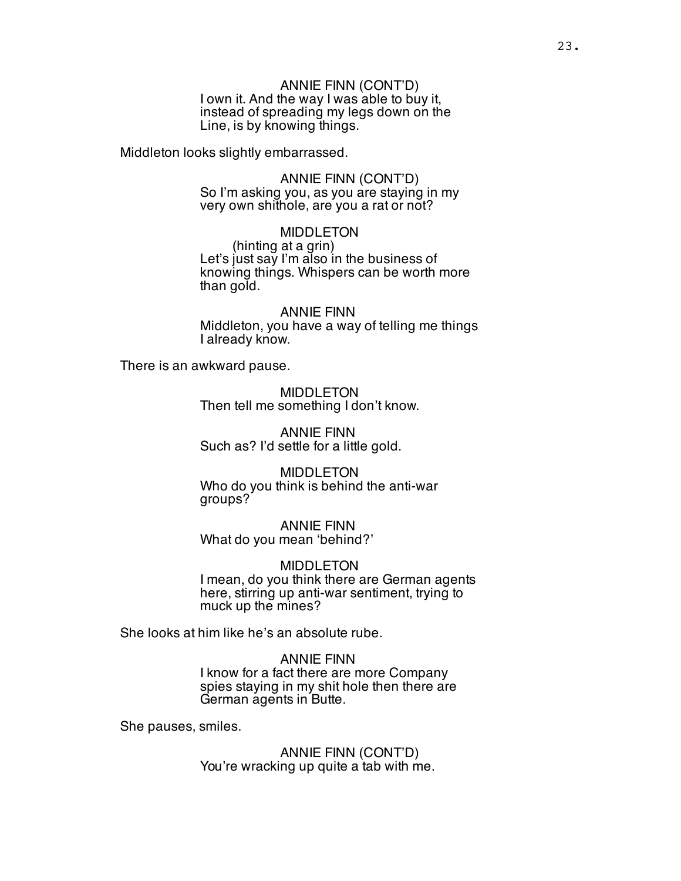### ANNIE FINN (CONT'D)

I own it. And the way I was able to buy it. instead of spreading my legs down on the Line, is by knowing things.

Middleton looks slightly embarrassed.

ANNIE FINN (CONT'D) So I'm asking you, as you are staying in my very own shithole, are you a rat or not?

MIDDLETON (hinting at a grin) Let's just say I'm also in the business of knowing things. Whispers can be worth more than gold.

ANNIE FINN Middleton, you have a way of telling me things I already know.

There is an awkward pause.

MIDDLETON Then tell me something I don't know.

ANNIE FINN Such as? I'd settle for a little gold.

MIDDLETON Who do you think is behind the anti-war groups?

ANNIE FINN What do you mean 'behind?'

#### MIDDLETON

I mean, do you think there are German agents here, stirring up anti-war sentiment, trying to muck up the mines?

She looks at him like he's an absolute rube.

#### ANNIE FINN

I know for a fact there are more Company spies staying in my shit hole then there are German agents in Butte.

She pauses, smiles.

ANNIE FINN (CONT'D) You're wracking up quite a tab with me.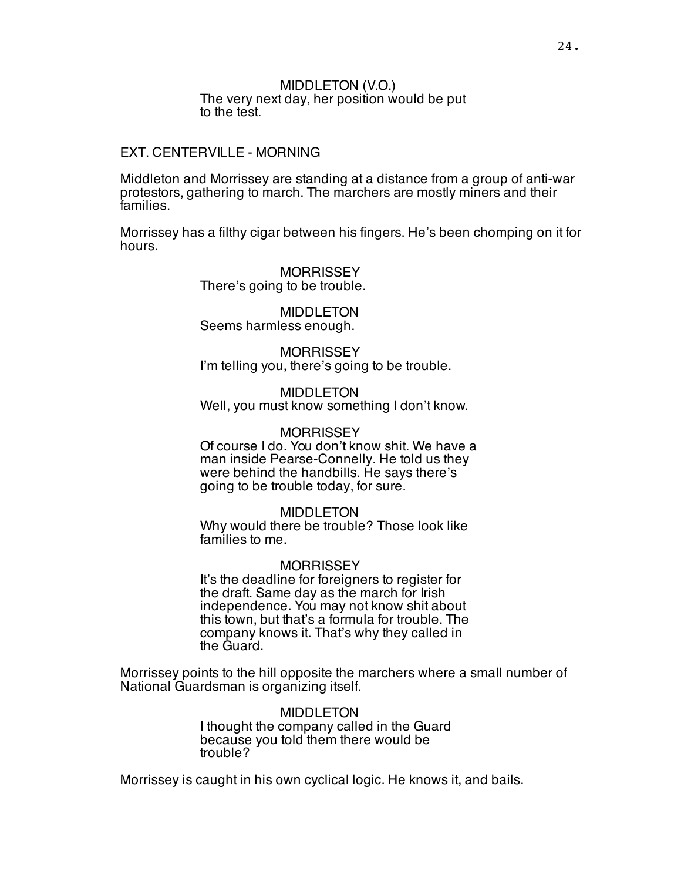#### MIDDLETON (V.O.) The very next day, her position would be put to the test.

#### EXT. CENTERVILLE - MORNING

Middleton and Morrissey are standing at a distance from a group of anti-war protestors, gathering to march. The marchers are mostly miners and their families.

Morrissey has a filthy cigar between his fingers. He's been chomping on it for hours.

> **MORRISSEY** There's going to be trouble.

MIDDLETON Seems harmless enough.

**MORRISSEY** I'm telling you, there's going to be trouble.

MIDDLETON Well, you must know something I don't know.

### **MORRISSEY**

Of course I do. You don't know shit. We have a man inside Pearse-Connelly. He told us they were behind the handbills. He says there's going to be trouble today, for sure.

#### MIDDLETON

Why would there be trouble? Those look like families to me.

**MORRISSEY** 

It's the deadline for foreigners to register for the draft. Same day as the march for Irish independence. You may not know shit about this town, but that's a formula for trouble. The company knows it. That's why they called in the Guard.

Morrissey points to the hill opposite the marchers where a small number of National Guardsman is organizing itself.

> **MIDDLETON** I thought the company called in the Guard because you told them there would be trouble?

Morrissey is caught in his own cyclical logic. He knows it, and bails.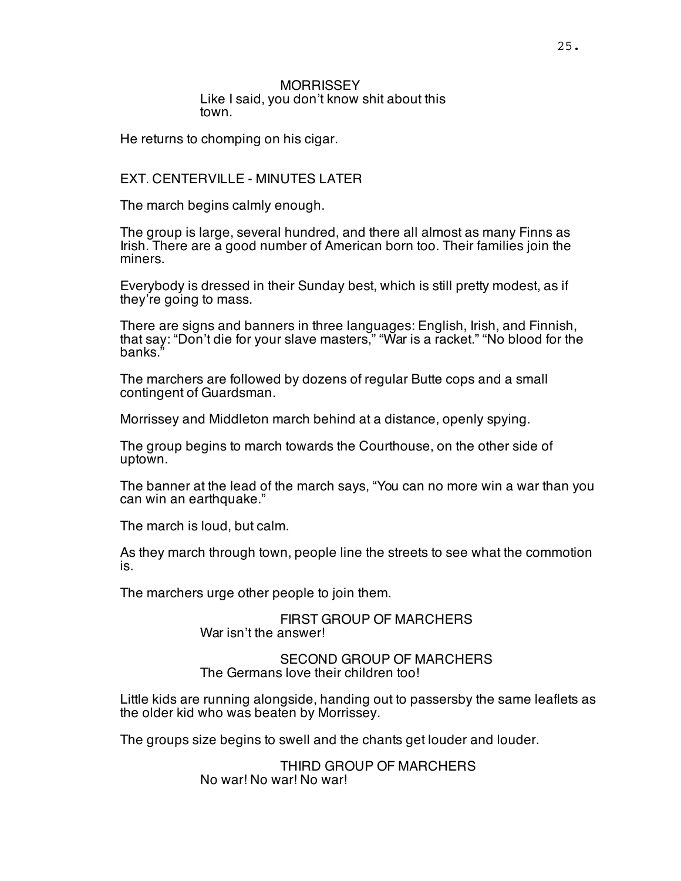#### **MORRISSEY** Like I said, you don't know shit about this town.

He returns to chomping on his cigar.

### EXT. CENTERVILLE - MINUTES LATER

The march begins calmly enough.

The group is large, several hundred, and there all almost as many Finns as Irish. There are a good number of American born too. Their families join the miners.

Everybody is dressed in their Sunday best, which is still pretty modest, as if they're going to mass.

There are signs and banners in three languages: English, Irish, and Finnish, that say: "Don't die for your slave masters," "War is a racket." "No blood for the banks."

The marchers are followed by dozens of regular Butte cops and a small contingent of Guardsman.

Morrissey and Middleton march behind at a distance, openly spying.

The group begins to march towards the Courthouse, on the other side of uptown.

The banner at the lead of the march says, "You can no more win a war than you can win an earthquake."

The march is loud, but calm.

As they march through town, people line the streets to see what the commotion is.

The marchers urge other people to join them.

FIRST GROUP OF MARCHERS War isn't the answer!

SECOND GROUP OF MARCHERS The Germans love their children too!

Little kids are running alongside, handing out to passersby the same leaflets as the older kid who was beaten by Morrissey.

The groups size begins to swell and the chants get louder and louder.

THIRD GROUP OF MARCHERS No war! No war! No war!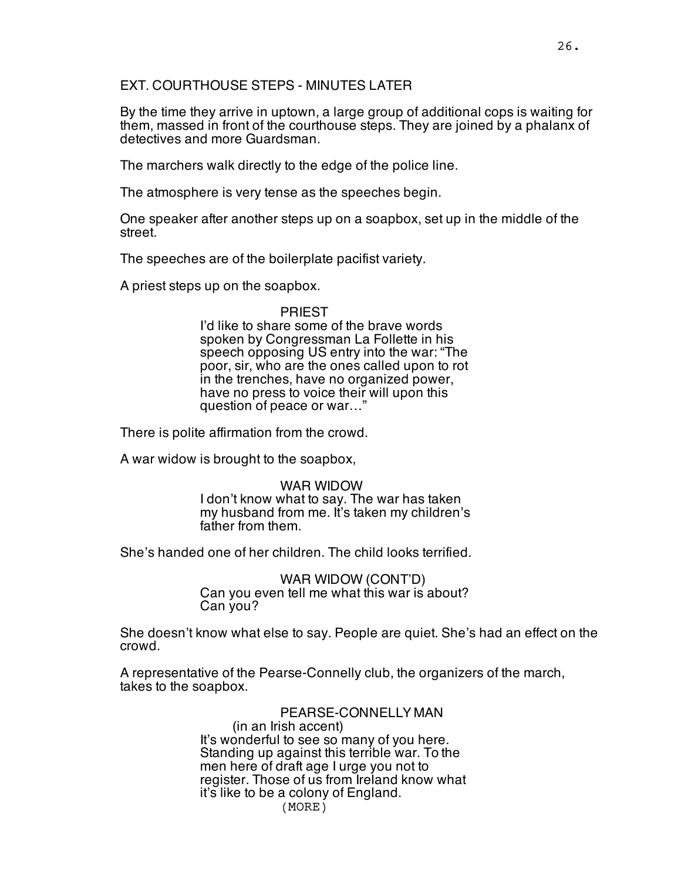By the time they arrive in uptown, a large group of additional cops is waiting for them, massed in front of the courthouse steps. They are joined by a phalanx of detectives and more Guardsman.

The marchers walk directly to the edge of the police line.

The atmosphere is very tense as the speeches begin.

One speaker after another steps up on a soapbox, set up in the middle of the street.

The speeches are of the boilerplate pacifist variety.

A priest steps up on the soapbox.

#### PRIEST

I'd like to share some of the brave words spoken by Congressman La Follette in his speech opposing US entry into the war: "The poor, sir, who are the ones called upon to rot in the trenches, have no organized power, have no press to voice their will upon this question of peace or war…"

There is polite affirmation from the crowd.

A war widow is brought to the soapbox,

# WAR WIDOW

I don't know what to say. The war has taken my husband from me. It's taken my children's father from them.

She's handed one of her children. The child looks terrified.

WAR WIDOW (CONT'D) Can you even tell me what this war is about? Can you?

She doesn't know what else to say. People are quiet. She's had an effect on the crowd.

A representative of the Pearse-Connelly club, the organizers of the march, takes to the soapbox.

### PEARSE-CONNELLY MAN

(in an Irish accent) It's wonderful to see so many of you here. Standing up against this terrible war. To the men here of draft age I urge you not to register. Those of us from Ireland know what it's like to be a colony of England. (MORE)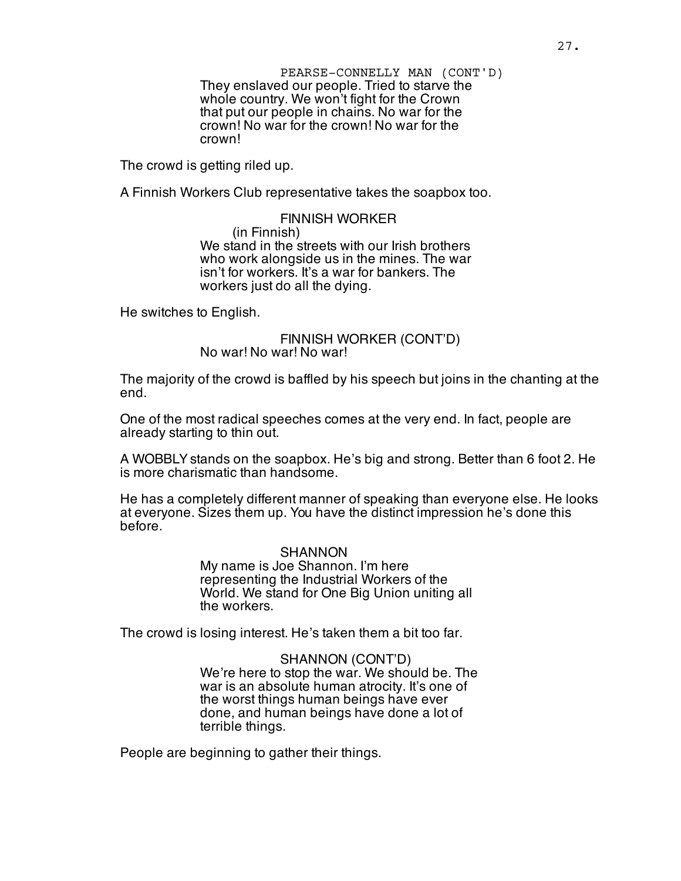They enslaved our people. Tried to starve the whole country. We won't fight for the Crown that put our people in chains. No war for the crown! No war for the crown! No war for the crown! PEARSE-CONNELLY MAN (CONT'D)

The crowd is getting riled up.

A Finnish Workers Club representative takes the soapbox too.

#### FINNISH WORKER (in Finnish) We stand in the streets with our Irish brothers who work alongside us in the mines. The war isn't for workers. It's a war for bankers. The workers just do all the dying.

He switches to English.

### FINNISH WORKER (CONT'D) No war! No war! No war!

The majority of the crowd is baffled by his speech but joins in the chanting at the end.

One of the most radical speeches comes at the very end. In fact, people are already starting to thin out.

A WOBBLY stands on the soapbox. He's big and strong. Better than 6 foot 2. He is more charismatic than handsome.

He has a completely different manner of speaking than everyone else. He looks at everyone. Sizes them up. You have the distinct impression he's done this before.

### **SHANNON**

My name is Joe Shannon. I'm here representing the Industrial Workers of the World. We stand for One Big Union uniting all the workers.

The crowd is losing interest. He's taken them a bit too far.

SHANNON (CONT'D) We're here to stop the war. We should be. The war is an absolute human atrocity. It's one of the worst things human beings have ever done, and human beings have done a lot of terrible things.

People are beginning to gather their things.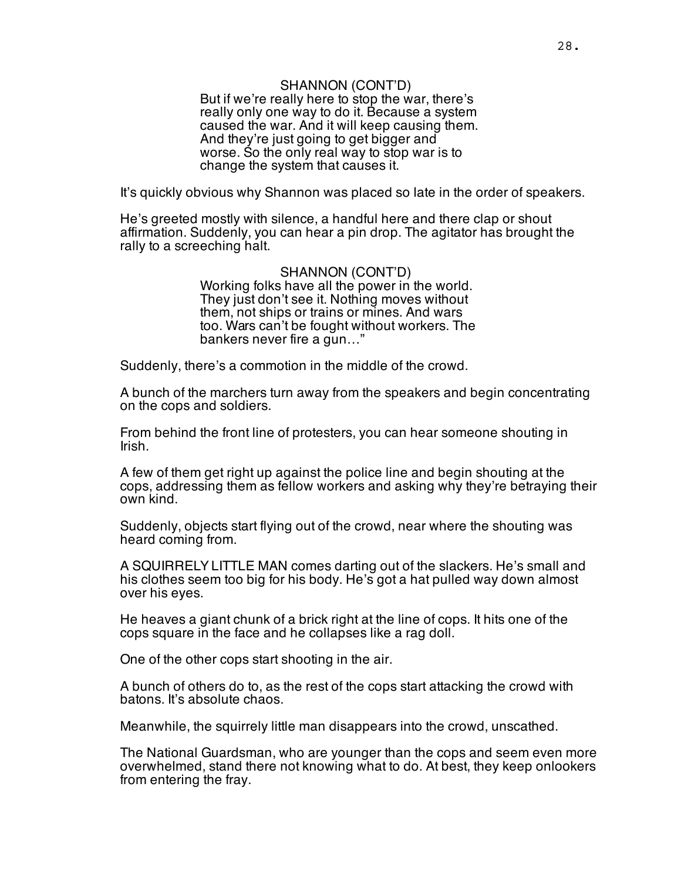### SHANNON (CONT'D)

But if we're really here to stop the war, there's really only one way to do it. Because a system caused the war. And it will keep causing them. And they're just going to get bigger and worse. So the only real way to stop war is to change the system that causes it.

It's quickly obvious why Shannon was placed so late in the order of speakers.

He's greeted mostly with silence, a handful here and there clap or shout affirmation. Suddenly, you can hear a pin drop. The agitator has brought the rally to a screeching halt.

> SHANNON (CONT'D) Working folks have all the power in the world. They just don't see it. Nothing moves without them, not ships or trains or mines. And wars too. Wars can't be fought without workers. The bankers never fire a gun…"

Suddenly, there's a commotion in the middle of the crowd.

A bunch of the marchers turn away from the speakers and begin concentrating on the cops and soldiers.

From behind the front line of protesters, you can hear someone shouting in Irish.

A few of them get right up against the police line and begin shouting at the cops, addressing them as fellow workers and asking why they're betraying their own kind.

Suddenly, objects start flying out of the crowd, near where the shouting was heard coming from.

A SQUIRRELY LITTLE MAN comes darting out of the slackers. He's small and his clothes seem too big for his body. He's got a hat pulled way down almost over his eyes.

He heaves a giant chunk of a brick right at the line of cops. It hits one of the cops square in the face and he collapses like a rag doll.

One of the other cops start shooting in the air.

A bunch of others do to, as the rest of the cops start attacking the crowd with batons. It's absolute chaos.

Meanwhile, the squirrely little man disappears into the crowd, unscathed.

The National Guardsman, who are younger than the cops and seem even more overwhelmed, stand there not knowing what to do. At best, they keep onlookers from entering the fray.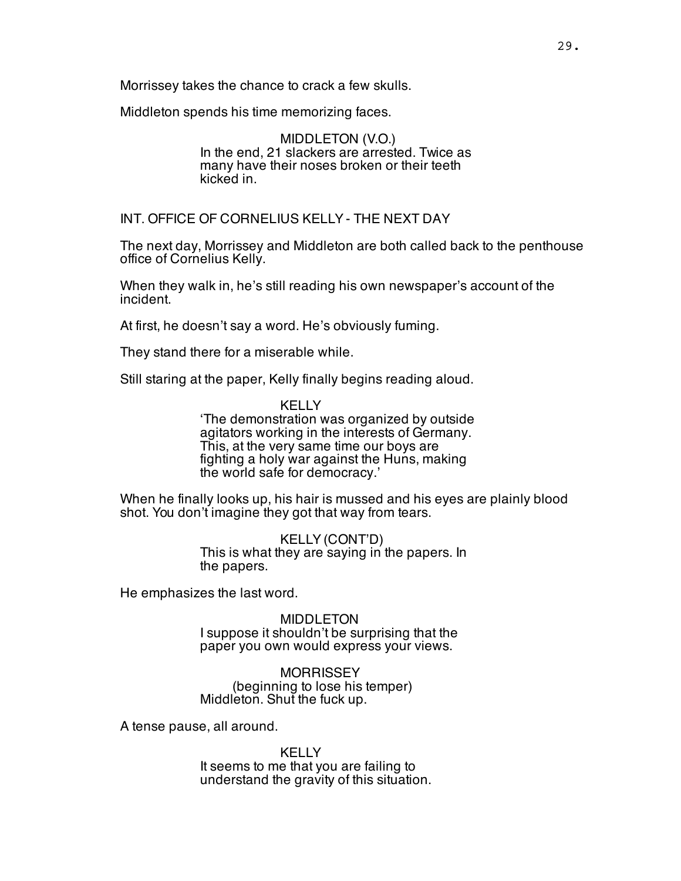Morrissey takes the chance to crack a few skulls.

Middleton spends his time memorizing faces.

MIDDLETON (V.O.) In the end, 21 slackers are arrested. Twice as many have their noses broken or their teeth kicked in.

INT. OFFICE OF CORNELIUS KELLY - THE NEXT DAY

The next day, Morrissey and Middleton are both called back to the penthouse office of Cornelius Kelly.

When they walk in, he's still reading his own newspaper's account of the incident.

At first, he doesn't say a word. He's obviously fuming.

They stand there for a miserable while.

Still staring at the paper, Kelly finally begins reading aloud.

**KELLY** 'The demonstration was organized by outside agitators working in the interests of Germany. This, at the very same time our boys are fighting a holy war against the Huns, making the world safe for democracy.'

When he finally looks up, his hair is mussed and his eyes are plainly blood shot. You don't imagine they got that way from tears.

> KELLY (CONT'D) This is what they are saying in the papers. In the papers.

He emphasizes the last word.

MIDDLETON I suppose it shouldn't be surprising that the paper you own would express your views.

**MORRISSEY** (beginning to lose his temper) Middleton. Shut the fuck up.

A tense pause, all around.

**KELLY** It seems to me that you are failing to understand the gravity of this situation.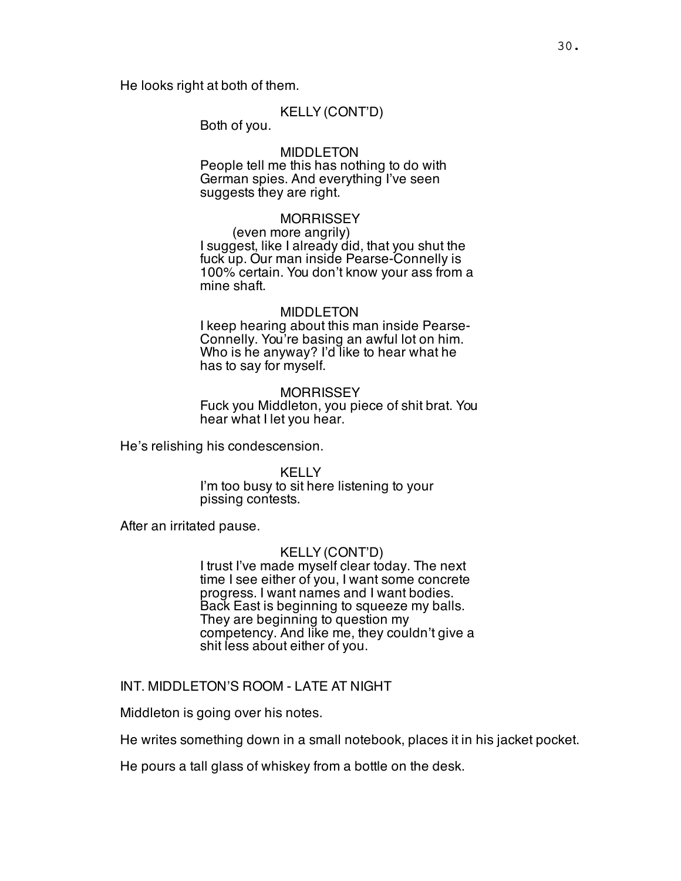He looks right at both of them.

### KELLY (CONT'D)

Both of you.

#### MIDDLETON

People tell me this has nothing to do with German spies. And everything I've seen suggests they are right.

#### **MORRISSEY**

(even more angrily) I suggest, like I already did, that you shut the fuck up. Our man inside Pearse-Connelly is 100% certain. You don't know your ass from a mine shaft.

#### MIDDLETON

I keep hearing about this man inside Pearse-Connelly. You're basing an awful lot on him. Who is he anyway? I'd like to hear what he has to say for myself.

#### **MORRISSEY** Fuck you Middleton, you piece of shit brat. You hear what I let you hear.

He's relishing his condescension.

#### KELLY

I'm too busy to sit here listening to your pissing contests.

After an irritated pause.

#### KELLY (CONT'D)

I trust I've made myself clear today. The next time I see either of you, I want some concrete progress. I want names and I want bodies. Back East is beginning to squeeze my balls. They are beginning to question my competency. And like me, they couldn't give a shit less about either of you.

### INT. MIDDLETON'S ROOM - LATE AT NIGHT

Middleton is going over his notes.

He writes something down in a small notebook, places it in his jacket pocket.

He pours a tall glass of whiskey from a bottle on the desk.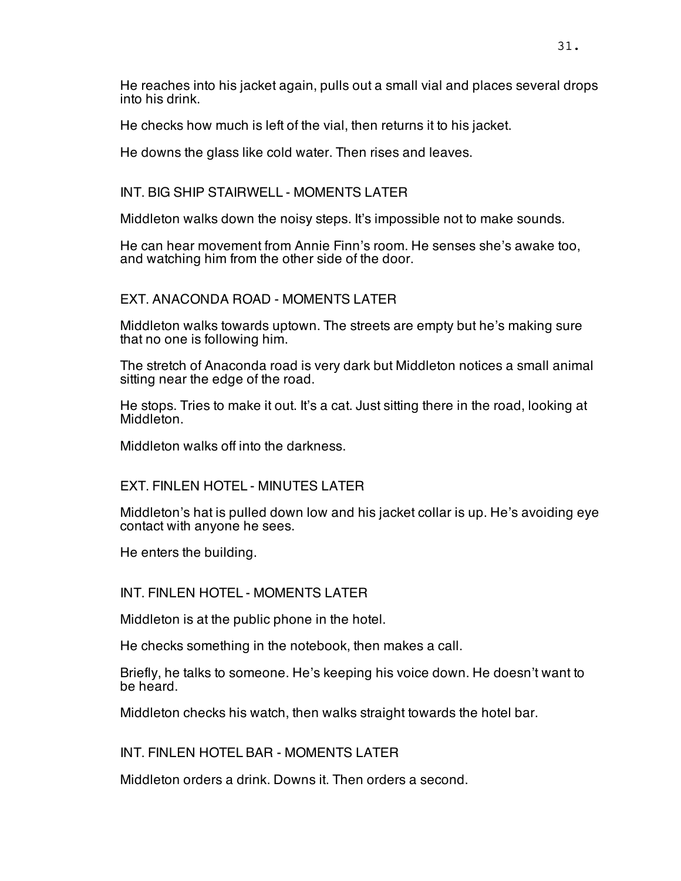He reaches into his jacket again, pulls out a small vial and places several drops into his drink.

He checks how much is left of the vial, then returns it to his jacket.

He downs the glass like cold water. Then rises and leaves.

### INT. BIG SHIP STAIRWELL - MOMENTS LATER

Middleton walks down the noisy steps. It's impossible not to make sounds.

He can hear movement from Annie Finn's room. He senses she's awake too, and watching him from the other side of the door.

### EXT. ANACONDA ROAD - MOMENTS LATER

Middleton walks towards uptown. The streets are empty but he's making sure that no one is following him.

The stretch of Anaconda road is very dark but Middleton notices a small animal sitting near the edge of the road.

He stops. Tries to make it out. It's a cat. Just sitting there in the road, looking at Middleton.

Middleton walks off into the darkness.

# EXT. FINLEN HOTEL - MINUTES LATER

Middleton's hat is pulled down low and his jacket collar is up. He's avoiding eye contact with anyone he sees.

He enters the building.

# INT. FINLEN HOTEL - MOMENTS LATER

Middleton is at the public phone in the hotel.

He checks something in the notebook, then makes a call.

Briefly, he talks to someone. He's keeping his voice down. He doesn't want to be heard.

Middleton checks his watch, then walks straight towards the hotel bar.

INT. FINLEN HOTEL BAR - MOMENTS LATER

Middleton orders a drink. Downs it. Then orders a second.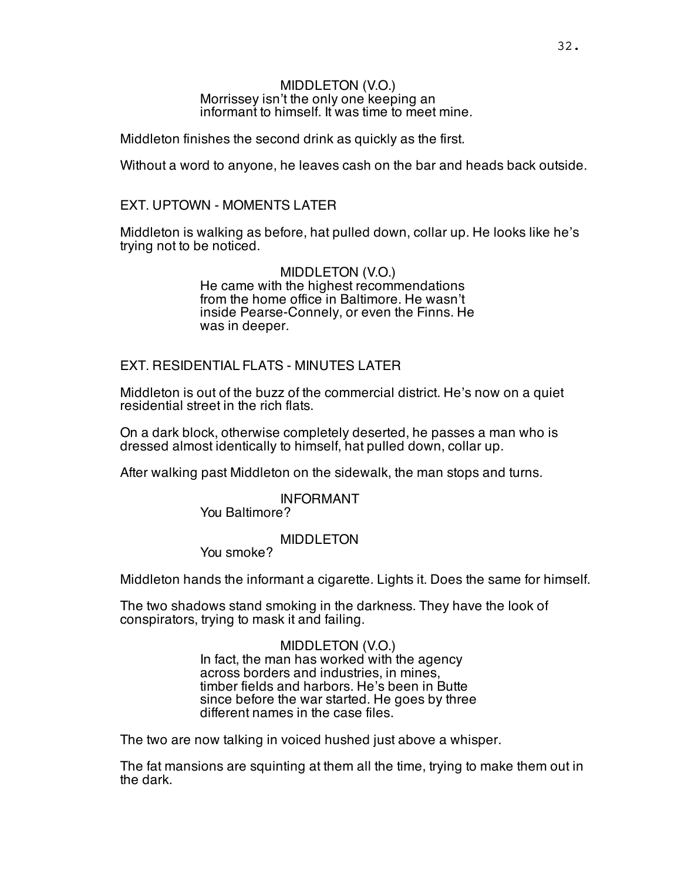#### MIDDLETON (V.O.) Morrissey isn't the only one keeping an informant to himself. It was time to meet mine.

Middleton finishes the second drink as quickly as the first.

Without a word to anyone, he leaves cash on the bar and heads back outside.

### EXT. UPTOWN - MOMENTS LATER

Middleton is walking as before, hat pulled down, collar up. He looks like he's trying not to be noticed.

> MIDDLETON (V.O.) He came with the highest recommendations from the home office in Baltimore. He wasn't inside Pearse-Connely, or even the Finns. He was in deeper.

### EXT. RESIDENTIAL FLATS - MINUTES LATER

Middleton is out of the buzz of the commercial district. He's now on a quiet residential street in the rich flats.

On a dark block, otherwise completely deserted, he passes a man who is dressed almost identically to himself, hat pulled down, collar up.

After walking past Middleton on the sidewalk, the man stops and turns.

### INFORMANT

You Baltimore?

### MIDDLETON

You smoke?

Middleton hands the informant a cigarette. Lights it. Does the same for himself.

The two shadows stand smoking in the darkness. They have the look of conspirators, trying to mask it and failing.

> MIDDLETON (V.O.) In fact, the man has worked with the agency across borders and industries, in mines, timber fields and harbors. He's been in Butte since before the war started. He goes by three different names in the case files.

The two are now talking in voiced hushed just above a whisper.

The fat mansions are squinting at them all the time, trying to make them out in the dark.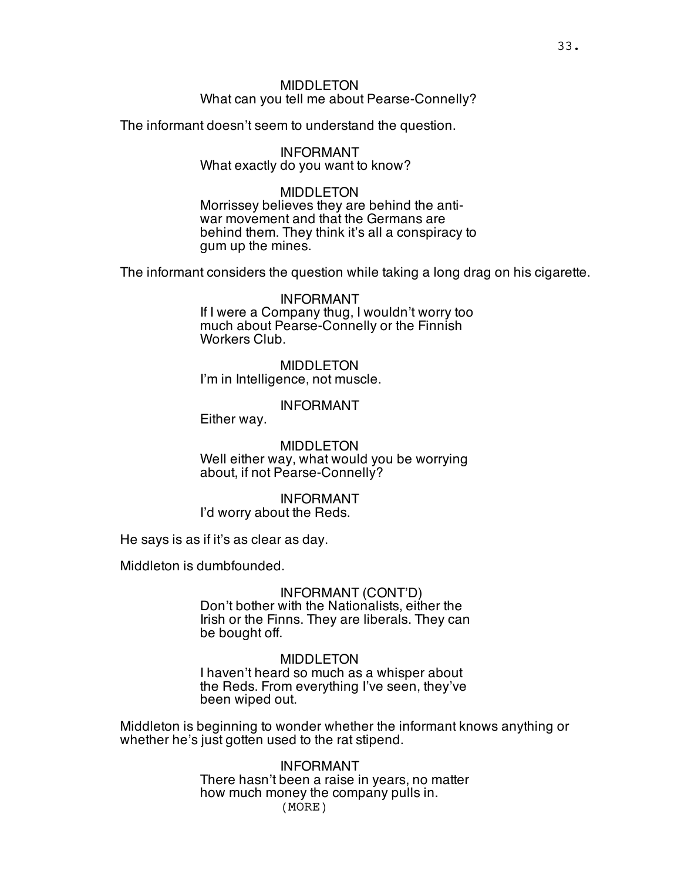#### MIDDLETON What can you tell me about Pearse-Connelly?

The informant doesn't seem to understand the question.

INFORMANT What exactly do you want to know?

#### MIDDLETON Morrissey believes they are behind the antiwar movement and that the Germans are behind them. They think it's all a conspiracy to gum up the mines.

The informant considers the question while taking a long drag on his cigarette.

INFORMANT If I were a Company thug, I wouldn't worry too much about Pearse-Connelly or the Finnish Workers Club.

MIDDLETON I'm in Intelligence, not muscle.

### INFORMANT

Either way.

MIDDLETON Well either way, what would you be worrying about, if not Pearse-Connelly?

#### INFORMANT I'd worry about the Reds.

He says is as if it's as clear as day.

Middleton is dumbfounded.

### INFORMANT (CONT'D) Don't bother with the Nationalists, either the Irish or the Finns. They are liberals. They can be bought off.

### MIDDLETON

I haven't heard so much as a whisper about the Reds. From everything I've seen, they've been wiped out.

Middleton is beginning to wonder whether the informant knows anything or whether he's just gotten used to the rat stipend.

> INFORMANT There hasn't been a raise in years, no matter how much money the company pulls in. (MORE)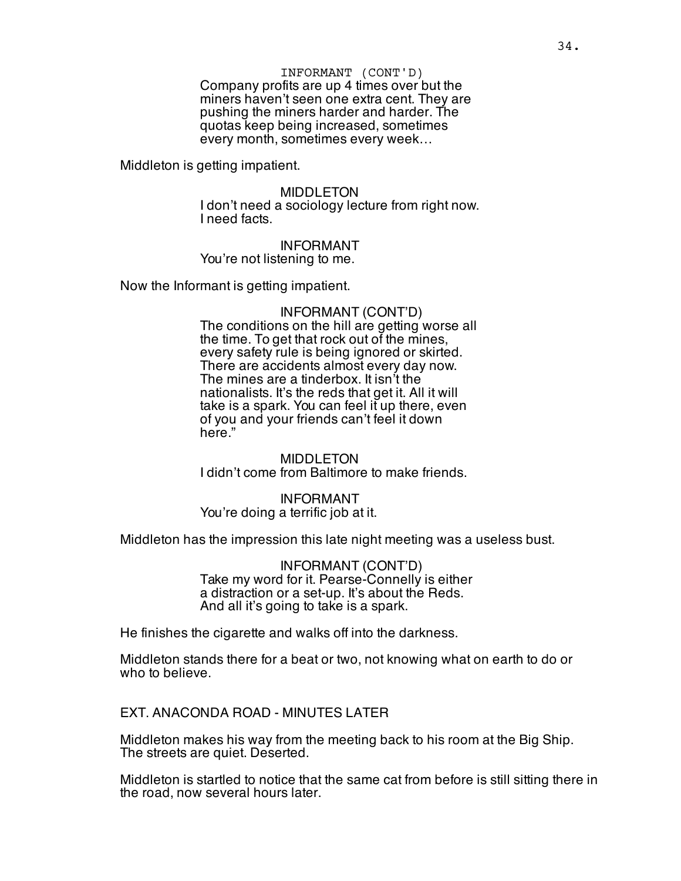Company profits are up 4 times over but the miners haven't seen one extra cent. They are pushing the miners harder and harder. The quotas keep being increased, sometimes every month, sometimes every week… INFORMANT (CONT'D)

Middleton is getting impatient.

#### MIDDLETON

I don't need a sociology lecture from right now. I need facts.

### INFORMANT

You're not listening to me.

Now the Informant is getting impatient.

#### INFORMANT (CONT'D)

The conditions on the hill are getting worse all the time. To get that rock out of the mines, every safety rule is being ignored or skirted. There are accidents almost every day now. The mines are a tinderbox. It isn't the nationalists. It's the reds that get it. All it will take is a spark. You can feel it up there, even of you and your friends can't feel it down here."

MIDDLETON I didn't come from Baltimore to make friends.

INFORMANT You're doing a terrific job at it.

Middleton has the impression this late night meeting was a useless bust.

INFORMANT (CONT'D) Take my word for it. Pearse-Connelly is either a distraction or a set-up. It's about the Reds. And all it's going to take is a spark.

He finishes the cigarette and walks off into the darkness.

Middleton stands there for a beat or two, not knowing what on earth to do or who to believe.

EXT. ANACONDA ROAD - MINUTES LATER

Middleton makes his way from the meeting back to his room at the Big Ship. The streets are quiet. Deserted.

Middleton is startled to notice that the same cat from before is still sitting there in the road, now several hours later.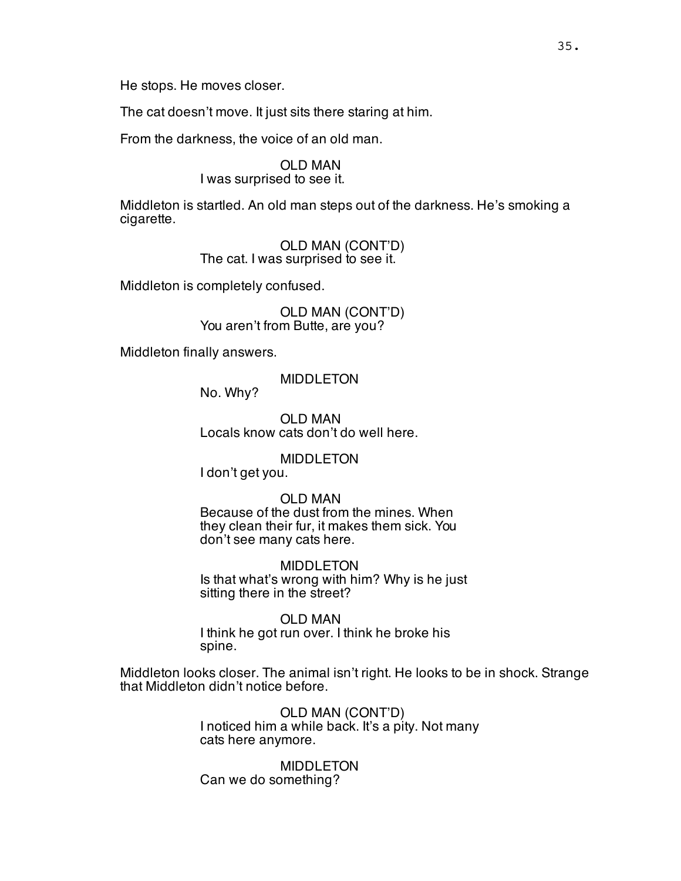He stops. He moves closer.

The cat doesn't move. It just sits there staring at him.

From the darkness, the voice of an old man.

OLD MAN I was surprised to see it.

Middleton is startled. An old man steps out of the darkness. He's smoking a cigarette.

> OLD MAN (CONT'D) The cat. I was surprised to see it.

Middleton is completely confused.

OLD MAN (CONT'D) You aren't from Butte, are you?

Middleton finally answers.

MIDDLETON

No. Why?

OLD MAN Locals know cats don't do well here.

# MIDDLETON

I don't get you.

# OLD MAN

Because of the dust from the mines. When they clean their fur, it makes them sick. You don't see many cats here.

MIDDLETON Is that what's wrong with him? Why is he just sitting there in the street?

# OLD MAN

I think he got run over. I think he broke his spine.

Middleton looks closer. The animal isn't right. He looks to be in shock. Strange that Middleton didn't notice before.

> OLD MAN (CONT'D) I noticed him a while back. It's a pity. Not many cats here anymore.

MIDDLETON Can we do something?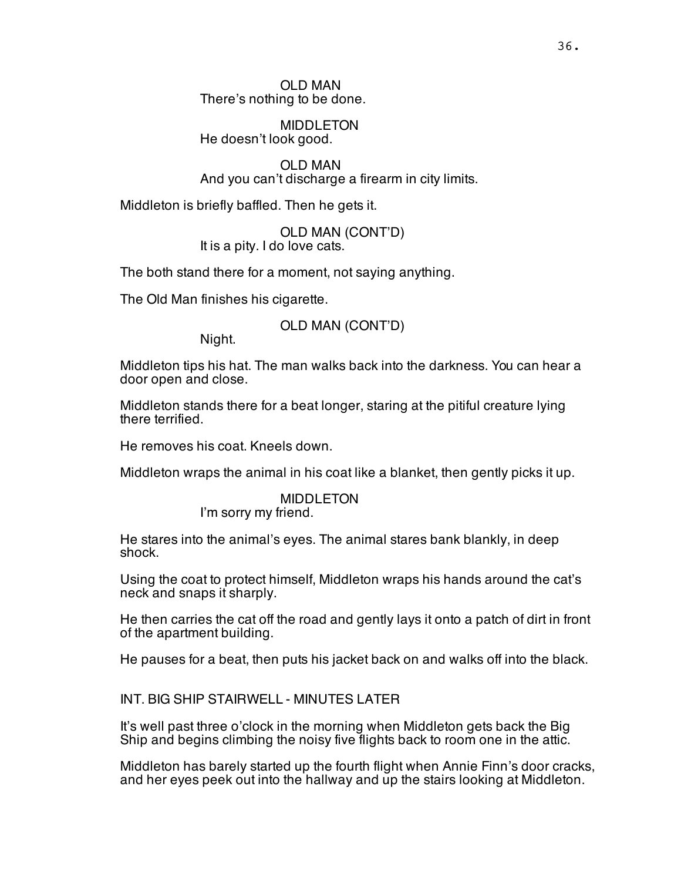OLD MAN There's nothing to be done.

**MIDDLETON** He doesn't look good.

OLD MAN And you can't discharge a firearm in city limits.

Middleton is briefly baffled. Then he gets it.

OLD MAN (CONT'D) It is a pity. I do love cats.

The both stand there for a moment, not saying anything.

The Old Man finishes his cigarette.

OLD MAN (CONT'D)

Night.

Middleton tips his hat. The man walks back into the darkness. You can hear a door open and close.

Middleton stands there for a beat longer, staring at the pitiful creature lying there terrified.

He removes his coat. Kneels down.

Middleton wraps the animal in his coat like a blanket, then gently picks it up.

# MIDDLETON

I'm sorry my friend.

He stares into the animal's eyes. The animal stares bank blankly, in deep shock.

Using the coat to protect himself, Middleton wraps his hands around the cat's neck and snaps it sharply.

He then carries the cat off the road and gently lays it onto a patch of dirt in front of the apartment building.

He pauses for a beat, then puts his jacket back on and walks off into the black.

INT. BIG SHIP STAIRWELL - MINUTES LATER

It's well past three o'clock in the morning when Middleton gets back the Big Ship and begins climbing the noisy five flights back to room one in the attic.

Middleton has barely started up the fourth flight when Annie Finn's door cracks, and her eyes peek out into the hallway and up the stairs looking at Middleton.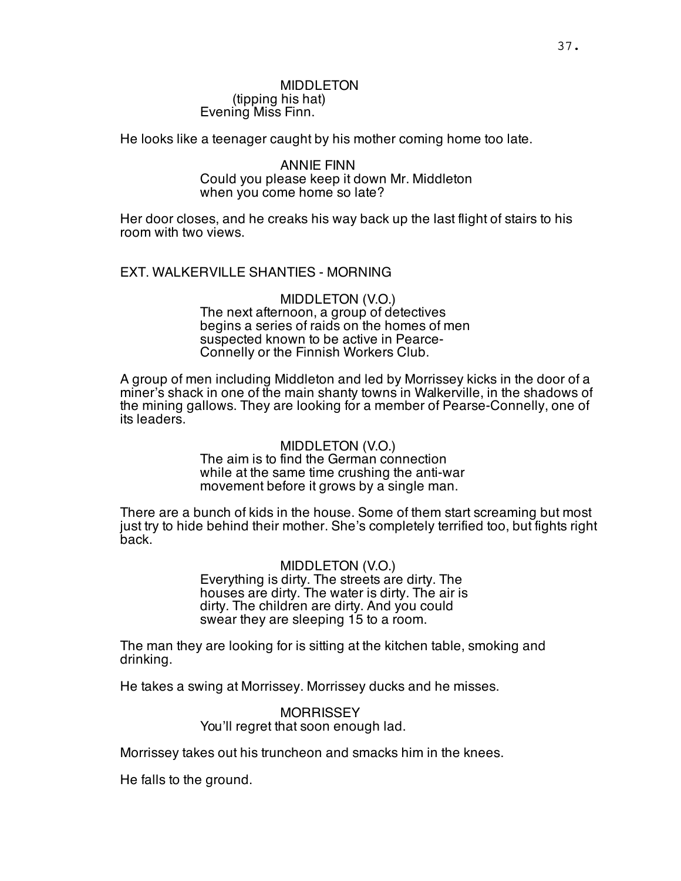#### MIDDLETON (tipping his hat) Evening Miss Finn.

He looks like a teenager caught by his mother coming home too late.

#### ANNIE FINN Could you please keep it down Mr. Middleton when you come home so late?

Her door closes, and he creaks his way back up the last flight of stairs to his room with two views.

### EXT. WALKERVILLE SHANTIES - MORNING

MIDDLETON (V.O.) The next afternoon, a group of detectives begins a series of raids on the homes of men suspected known to be active in Pearce-Connelly or the Finnish Workers Club.

A group of men including Middleton and led by Morrissey kicks in the door of a miner's shack in one of the main shanty towns in Walkerville, in the shadows of the mining gallows. They are looking for a member of Pearse-Connelly, one of its leaders.

> MIDDLETON (V.O.) The aim is to find the German connection while at the same time crushing the anti-war movement before it grows by a single man.

There are a bunch of kids in the house. Some of them start screaming but most just try to hide behind their mother. She's completely terrified too, but fights right back.

> MIDDLETON (V.O.) Everything is dirty. The streets are dirty. The houses are dirty. The water is dirty. The air is dirty. The children are dirty. And you could swear they are sleeping 15 to a room.

The man they are looking for is sitting at the kitchen table, smoking and drinking.

He takes a swing at Morrissey. Morrissey ducks and he misses.

### **MORRISSEY** You'll regret that soon enough lad.

Morrissey takes out his truncheon and smacks him in the knees.

He falls to the ground.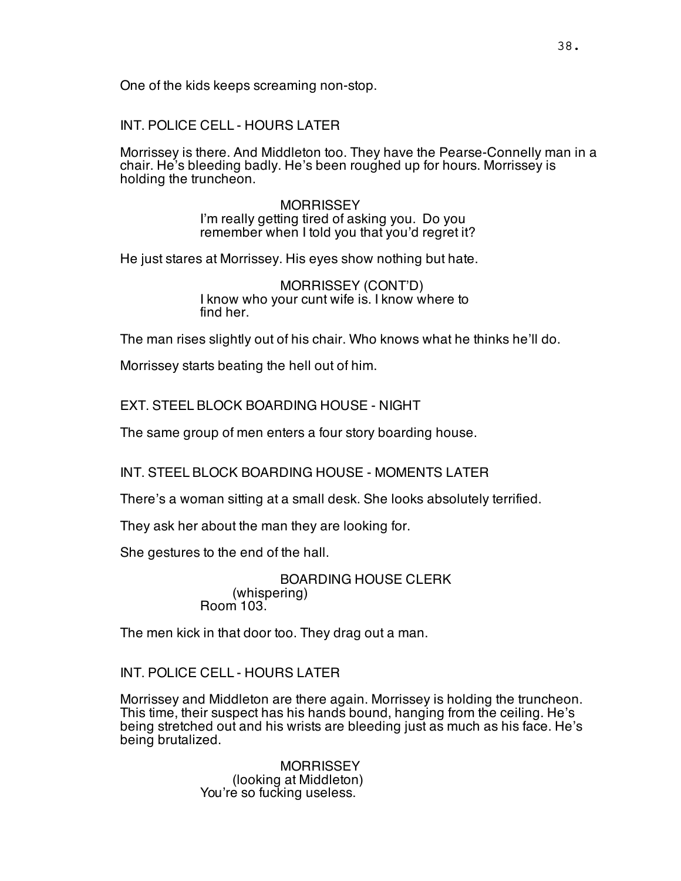One of the kids keeps screaming non-stop.

INT. POLICE CELL - HOURS LATER

Morrissey is there. And Middleton too. They have the Pearse-Connelly man in a chair. He's bleeding badly. He's been roughed up for hours. Morrissey is holding the truncheon.

> **MORRISSEY** I'm really getting tired of asking you. Do you remember when I told you that you'd regret it?

He just stares at Morrissey. His eyes show nothing but hate.

MORRISSEY (CONT'D) I know who your cunt wife is. I know where to find her.

The man rises slightly out of his chair. Who knows what he thinks he'll do.

Morrissey starts beating the hell out of him.

EXT. STEEL BLOCK BOARDING HOUSE - NIGHT

The same group of men enters a four story boarding house.

INT. STEEL BLOCK BOARDING HOUSE - MOMENTS LATER

There's a woman sitting at a small desk. She looks absolutely terrified.

They ask her about the man they are looking for.

She gestures to the end of the hall.

BOARDING HOUSE CLERK (whispering) Room 103.

The men kick in that door too. They drag out a man.

INT. POLICE CELL - HOURS LATER

Morrissey and Middleton are there again. Morrissey is holding the truncheon. This time, their suspect has his hands bound, hanging from the ceiling. He's being stretched out and his wrists are bleeding just as much as his face. He's being brutalized.

> **MORRISSEY** (looking at Middleton) You're so fucking useless.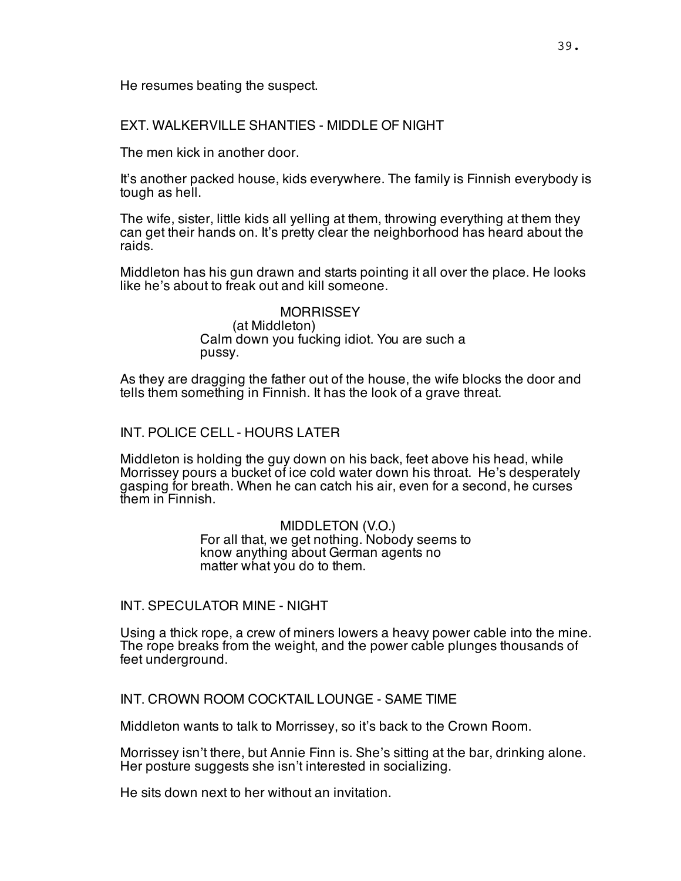EXT. WALKERVILLE SHANTIES - MIDDLE OF NIGHT

The men kick in another door.

It's another packed house, kids everywhere. The family is Finnish everybody is tough as hell.

The wife, sister, little kids all yelling at them, throwing everything at them they can get their hands on. It's pretty clear the neighborhood has heard about the raids.

Middleton has his gun drawn and starts pointing it all over the place. He looks like he's about to freak out and kill someone.

> **MORRISSEY** (at Middleton) Calm down you fucking idiot. You are such a pussy.

As they are dragging the father out of the house, the wife blocks the door and tells them something in Finnish. It has the look of a grave threat.

INT. POLICE CELL - HOURS LATER

Middleton is holding the guy down on his back, feet above his head, while Morrissey pours a bucket of ice cold water down his throat. He's desperately gasping for breath. When he can catch his air, even for a second, he curses them in Finnish.

> MIDDLETON (V.O.) For all that, we get nothing. Nobody seems to know anything about German agents no matter what you do to them.

INT. SPECULATOR MINE - NIGHT

Using a thick rope, a crew of miners lowers a heavy power cable into the mine. The rope breaks from the weight, and the power cable plunges thousands of feet underground.

INT. CROWN ROOM COCKTAIL LOUNGE - SAME TIME

Middleton wants to talk to Morrissey, so it's back to the Crown Room.

Morrissey isn't there, but Annie Finn is. She's sitting at the bar, drinking alone. Her posture suggests she isn't interested in socializing.

He sits down next to her without an invitation.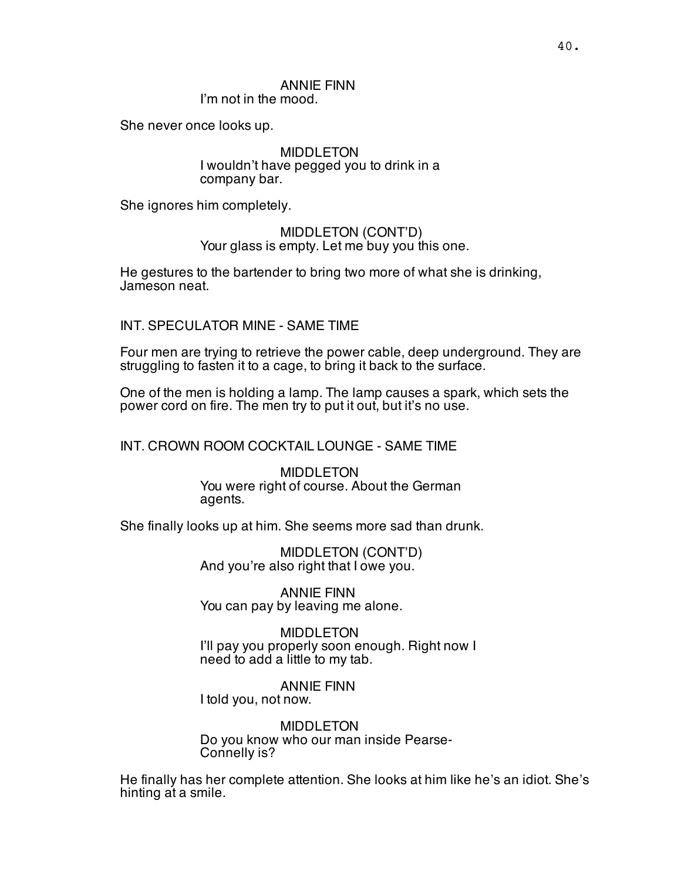She never once looks up.

#### MIDDLETON I wouldn't have pegged you to drink in a company bar.

She ignores him completely.

### MIDDLETON (CONT'D) Your glass is empty. Let me buy you this one.

He gestures to the bartender to bring two more of what she is drinking, Jameson neat.

# INT. SPECULATOR MINE - SAME TIME

Four men are trying to retrieve the power cable, deep underground. They are struggling to fasten it to a cage, to bring it back to the surface.

One of the men is holding a lamp. The lamp causes a spark, which sets the power cord on fire. The men try to put it out, but it's no use.

INT. CROWN ROOM COCKTAIL LOUNGE - SAME TIME

MIDDLETON You were right of course. About the German agents.

She finally looks up at him. She seems more sad than drunk.

MIDDLETON (CONT'D) And you're also right that I owe you.

ANNIE FINN You can pay by leaving me alone.

MIDDLETON I'll pay you properly soon enough. Right now I need to add a little to my tab.

ANNIE FINN I told you, not now.

MIDDLETON Do you know who our man inside Pearse-Connelly is?

He finally has her complete attention. She looks at him like he's an idiot. She's hinting at a smile.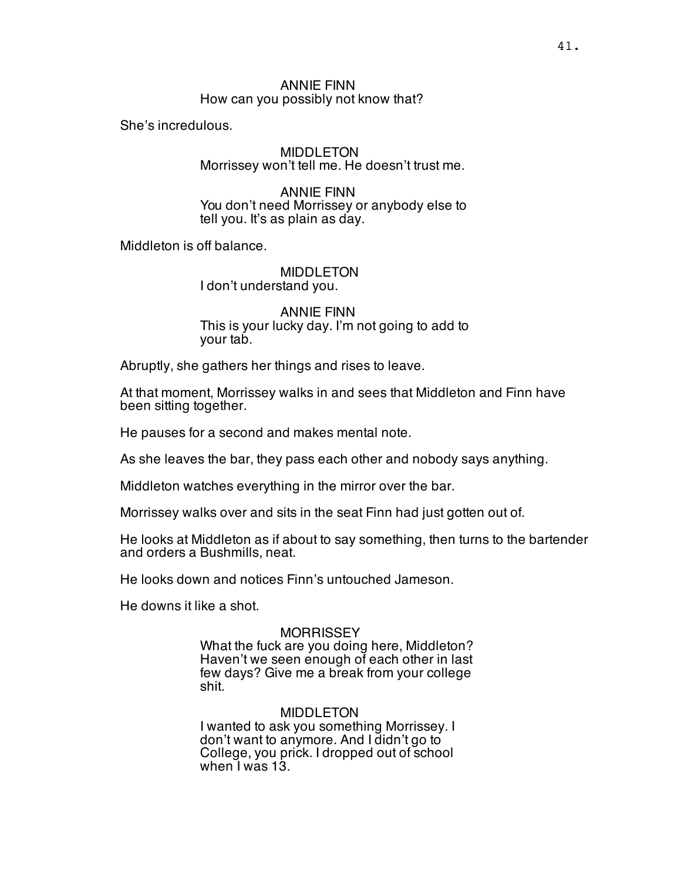### ANNIE FINN How can you possibly not know that?

She's incredulous.

**MIDDLETON** Morrissey won't tell me. He doesn't trust me.

ANNIE FINN You don't need Morrissey or anybody else to tell you. It's as plain as day.

Middleton is off balance.

MIDDLETON I don't understand you.

ANNIE FINN This is your lucky day. I'm not going to add to your tab.

Abruptly, she gathers her things and rises to leave.

At that moment, Morrissey walks in and sees that Middleton and Finn have been sitting together.

He pauses for a second and makes mental note.

As she leaves the bar, they pass each other and nobody says anything.

Middleton watches everything in the mirror over the bar.

Morrissey walks over and sits in the seat Finn had just gotten out of.

He looks at Middleton as if about to say something, then turns to the bartender and orders a Bushmills, neat.

He looks down and notices Finn's untouched Jameson.

He downs it like a shot.

# **MORRISSEY**

What the fuck are you doing here, Middleton? Haven't we seen enough of each other in last few days? Give me a break from your college shit.

MIDDLETON I wanted to ask you something Morrissey. I don't want to anymore. And I didn't go to College, you prick. I dropped out of school when I was 13.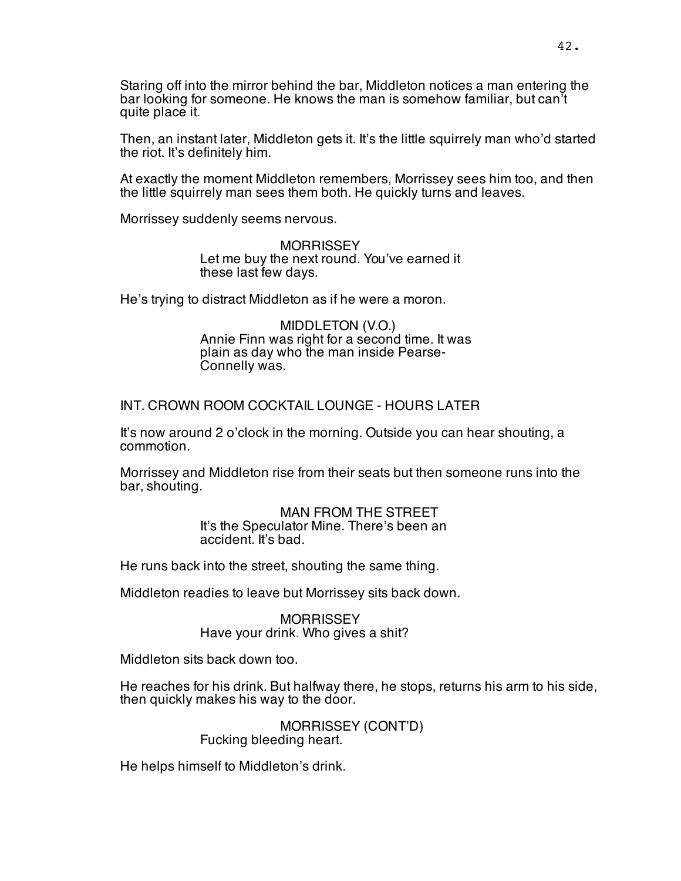Staring off into the mirror behind the bar, Middleton notices a man entering the bar looking for someone. He knows the man is somehow familiar, but can't quite place it.

Then, an instant later, Middleton gets it. It's the little squirrely man who'd started the riot. It's definitely him.

At exactly the moment Middleton remembers, Morrissey sees him too, and then the little squirrely man sees them both. He quickly turns and leaves.

Morrissey suddenly seems nervous.

**MORRISSEY** Let me buy the next round. You've earned it these last few days.

He's trying to distract Middleton as if he were a moron.

MIDDLETON (V.O.) Annie Finn was right for a second time. It was plain as day who the man inside Pearse-Connelly was.

### INT. CROWN ROOM COCKTAIL LOUNGE - HOURS LATER

It's now around 2 o'clock in the morning. Outside you can hear shouting, a commotion.

Morrissey and Middleton rise from their seats but then someone runs into the bar, shouting.

### MAN FROM THE STREET

It's the Speculator Mine. There's been an accident. It's bad.

He runs back into the street, shouting the same thing.

Middleton readies to leave but Morrissey sits back down.

**MORRISSEY** Have your drink. Who gives a shit?

Middleton sits back down too.

He reaches for his drink. But halfway there, he stops, returns his arm to his side, then quickly makes his way to the door.

> MORRISSEY (CONT'D) Fucking bleeding heart.

He helps himself to Middleton's drink.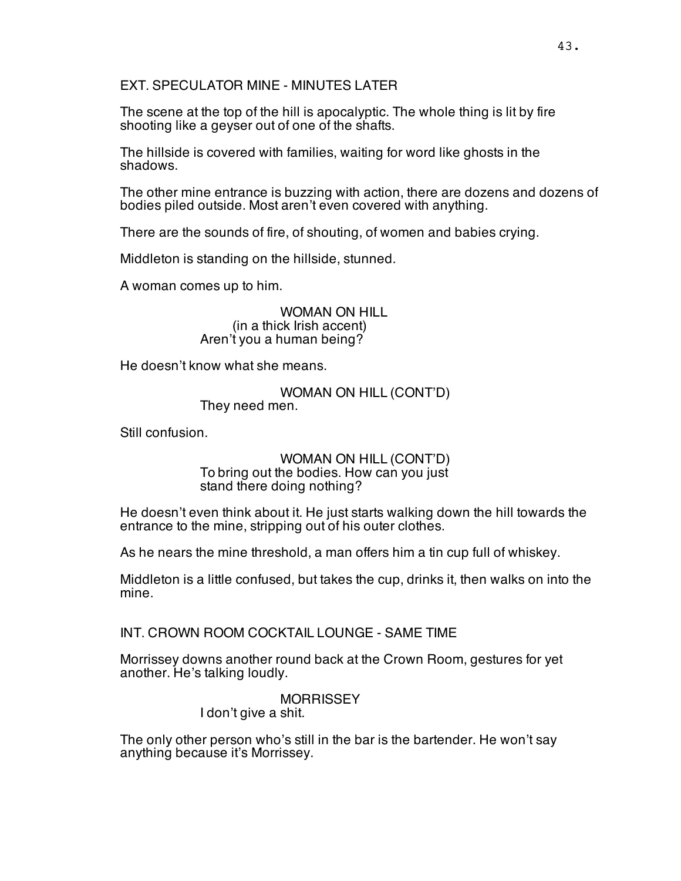### EXT. SPECULATOR MINE - MINUTES LATER

The scene at the top of the hill is apocalyptic. The whole thing is lit by fire shooting like a geyser out of one of the shafts.

The hillside is covered with families, waiting for word like ghosts in the shadows.

The other mine entrance is buzzing with action, there are dozens and dozens of bodies piled outside. Most aren't even covered with anything.

There are the sounds of fire, of shouting, of women and babies crying.

Middleton is standing on the hillside, stunned.

A woman comes up to him.

WOMAN ON HILL (in a thick Irish accent) Aren't you a human being?

He doesn't know what she means.

WOMAN ON HILL (CONT'D) They need men.

Still confusion.

WOMAN ON HILL (CONT'D) To bring out the bodies. How can you just stand there doing nothing?

He doesn't even think about it. He just starts walking down the hill towards the entrance to the mine, stripping out of his outer clothes.

As he nears the mine threshold, a man offers him a tin cup full of whiskey.

Middleton is a little confused, but takes the cup, drinks it, then walks on into the mine.

INT. CROWN ROOM COCKTAIL LOUNGE - SAME TIME

Morrissey downs another round back at the Crown Room, gestures for yet another. He's talking loudly.

# **MORRISSEY**

I don't give a shit.

The only other person who's still in the bar is the bartender. He won't say anything because it's Morrissey.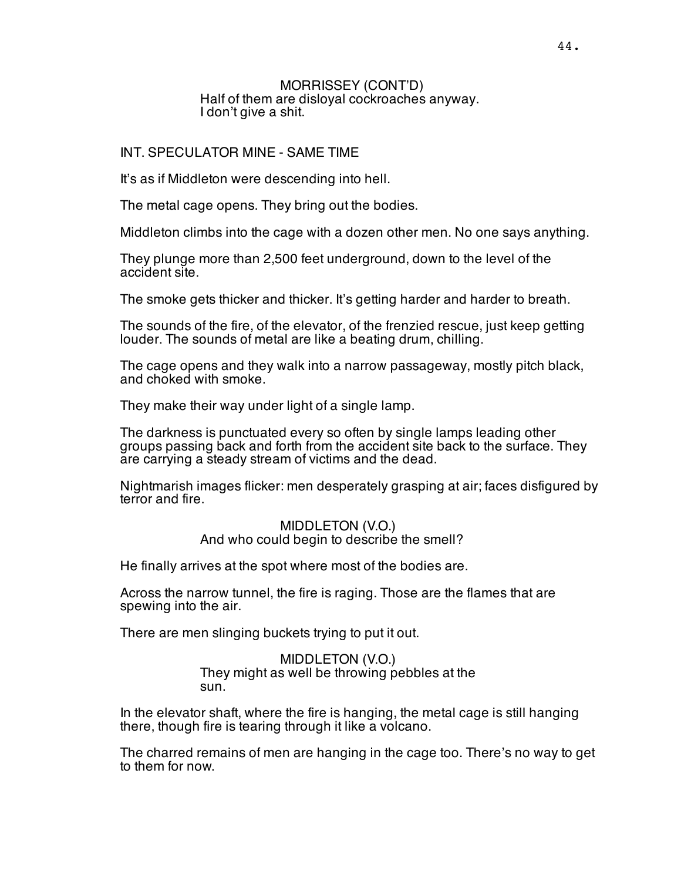MORRISSEY (CONT'D) Half of them are disloyal cockroaches anyway. I don't give a shit.

### INT. SPECULATOR MINE - SAME TIME

It's as if Middleton were descending into hell.

The metal cage opens. They bring out the bodies.

Middleton climbs into the cage with a dozen other men. No one says anything.

They plunge more than 2,500 feet underground, down to the level of the accident site.

The smoke gets thicker and thicker. It's getting harder and harder to breath.

The sounds of the fire, of the elevator, of the frenzied rescue, just keep getting louder. The sounds of metal are like a beating drum, chilling.

The cage opens and they walk into a narrow passageway, mostly pitch black, and choked with smoke.

They make their way under light of a single lamp.

The darkness is punctuated every so often by single lamps leading other groups passing back and forth from the accident site back to the surface. They are carrying a steady stream of victims and the dead.

Nightmarish images flicker: men desperately grasping at air; faces disfigured by terror and fire.

### MIDDLETON (V.O.) And who could begin to describe the smell?

He finally arrives at the spot where most of the bodies are.

Across the narrow tunnel, the fire is raging. Those are the flames that are spewing into the air.

There are men slinging buckets trying to put it out.

#### MIDDLETON (V.O.) They might as well be throwing pebbles at the sun.

In the elevator shaft, where the fire is hanging, the metal cage is still hanging there, though fire is tearing through it like a volcano.

The charred remains of men are hanging in the cage too. There's no way to get to them for now.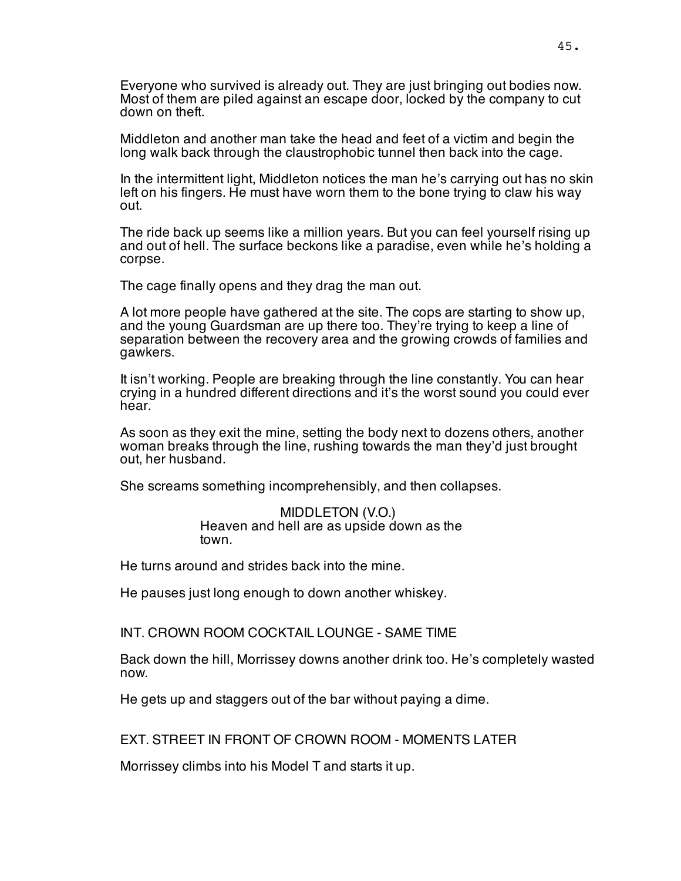Everyone who survived is already out. They are just bringing out bodies now. Most of them are piled against an escape door, locked by the company to cut down on theft.

Middleton and another man take the head and feet of a victim and begin the long walk back through the claustrophobic tunnel then back into the cage.

In the intermittent light, Middleton notices the man he's carrying out has no skin left on his fingers. He must have worn them to the bone trying to claw his way out.

The ride back up seems like a million years. But you can feel yourself rising up and out of hell. The surface beckons like a paradise, even while he's holding a corpse.

The cage finally opens and they drag the man out.

A lot more people have gathered at the site. The cops are starting to show up, and the young Guardsman are up there too. They're trying to keep a line of separation between the recovery area and the growing crowds of families and gawkers.

It isn't working. People are breaking through the line constantly. You can hear crying in a hundred different directions and it's the worst sound you could ever hear.

As soon as they exit the mine, setting the body next to dozens others, another woman breaks through the line, rushing towards the man they'd just brought out, her husband.

She screams something incomprehensibly, and then collapses.

MIDDLETON (V.O.) Heaven and hell are as upside down as the town.

He turns around and strides back into the mine.

He pauses just long enough to down another whiskey.

INT. CROWN ROOM COCKTAIL LOUNGE - SAME TIME

Back down the hill, Morrissey downs another drink too. He's completely wasted now.

He gets up and staggers out of the bar without paying a dime.

EXT. STREET IN FRONT OF CROWN ROOM - MOMENTS LATER

Morrissey climbs into his Model T and starts it up.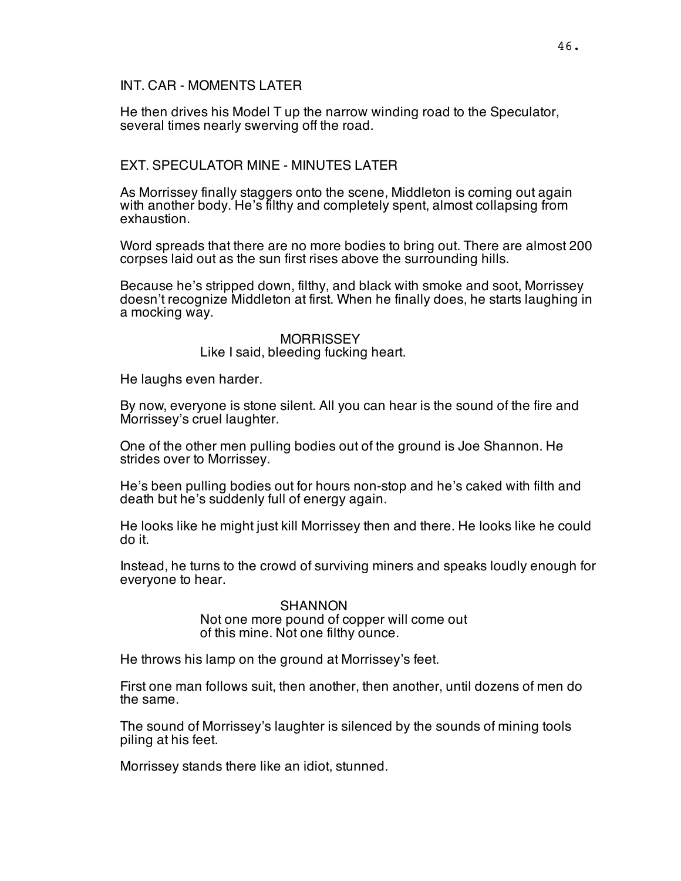### INT. CAR - MOMENTS LATER

He then drives his Model T up the narrow winding road to the Speculator, several times nearly swerving off the road.

### EXT. SPECULATOR MINE - MINUTES LATER

As Morrissey finally staggers onto the scene, Middleton is coming out again with another body. He's filthy and completely spent, almost collapsing from exhaustion.

Word spreads that there are no more bodies to bring out. There are almost 200 corpses laid out as the sun first rises above the surrounding hills.

Because he's stripped down, filthy, and black with smoke and soot, Morrissey doesn't recognize Middleton at first. When he finally does, he starts laughing in a mocking way.

#### **MORRISSEY** Like I said, bleeding fucking heart.

He laughs even harder.

By now, everyone is stone silent. All you can hear is the sound of the fire and Morrissey's cruel laughter.

One of the other men pulling bodies out of the ground is Joe Shannon. He strides over to Morrissey.

He's been pulling bodies out for hours non-stop and he's caked with filth and death but he's suddenly full of energy again.

He looks like he might just kill Morrissey then and there. He looks like he could do it.

Instead, he turns to the crowd of surviving miners and speaks loudly enough for everyone to hear.

### **SHANNON** Not one more pound of copper will come out of this mine. Not one filthy ounce.

He throws his lamp on the ground at Morrissey's feet.

First one man follows suit, then another, then another, until dozens of men do the same.

The sound of Morrissey's laughter is silenced by the sounds of mining tools piling at his feet.

Morrissey stands there like an idiot, stunned.